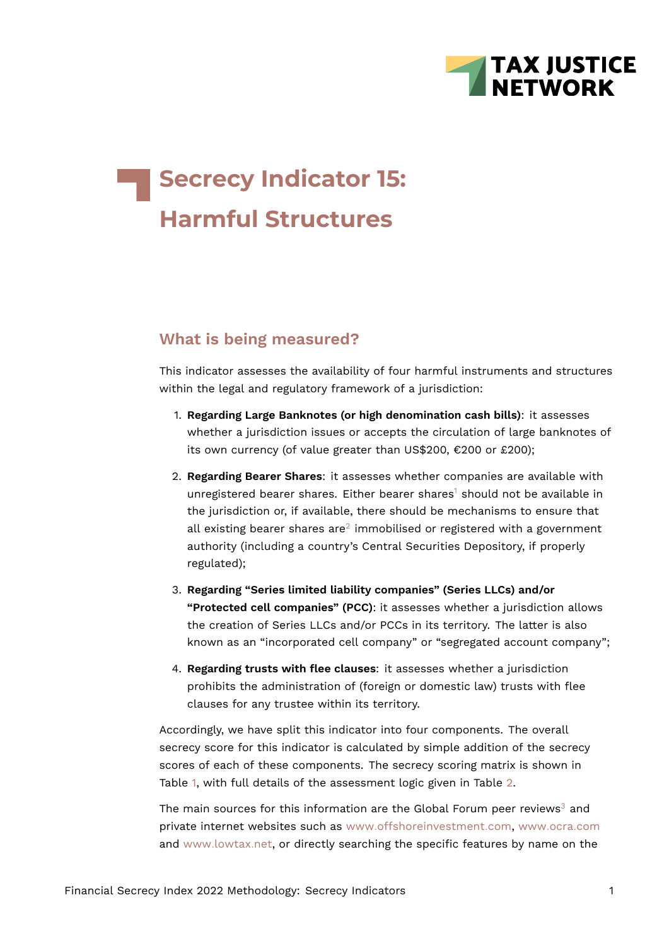

# **Secrecy Indicator 15: Harmful Structures**

# **What is being measured?**

This indicator assesses the availability of four harmful instruments and structures within the legal and regulatory framework of a jurisdiction:

- 1. **Regarding Large Banknotes (or high denomination cash bills)**: it assesses whether a jurisdiction issues or accepts the circulation of large banknotes of its own currency (of value greater than US\$200, €200 or £200);
- <span id="page-0-1"></span><span id="page-0-0"></span>2. **Regarding Bearer Shares**: it assesses whether companies are available with unregistered bearer shares. Either bearer shares<sup>[1](#page-12-0)</sup> should not be available in the jurisdiction or, if available, there should be mechanisms to ensure that all existing bearer shares are $^2$  $^2$  immobilised or registered with a government authority (including a country's Central Securities Depository, if properly regulated);
- 3. **Regarding "Series limited liability companies" (Series LLCs) and/or "Protected cell companies" (PCC)**: it assesses whether a jurisdiction allows the creation of Series LLCs and/or PCCs in its territory. The latter is also known as an "incorporated cell company" or "segregated account company";
- 4. **Regarding trusts with flee clauses**: it assesses whether a jurisdiction prohibits the administration of (foreign or domestic law) trusts with flee clauses for any trustee within its territory.

Accordingly, we have split this indicator into four components. The overall secrecy score for this indicator is calculated by simple addition of the secrecy scores of each of these components. The secrecy scoring matrix is shown in Table [1,](#page-1-0) with full details of the assessment logic given in Table [2.](#page-7-0)

<span id="page-0-2"></span>The main sources for this information are the Global Forum peer reviews<sup>[3](#page-12-2)</sup> and private internet websites such as www*.*[offshoreinvestment](www.offshoreinvestment.com)*.*com, [www](www.ocra.com)*.*ocra*.*com and www*.*[lowtax](www.lowtax.net)*.*net, or directly searching the specific features by name on the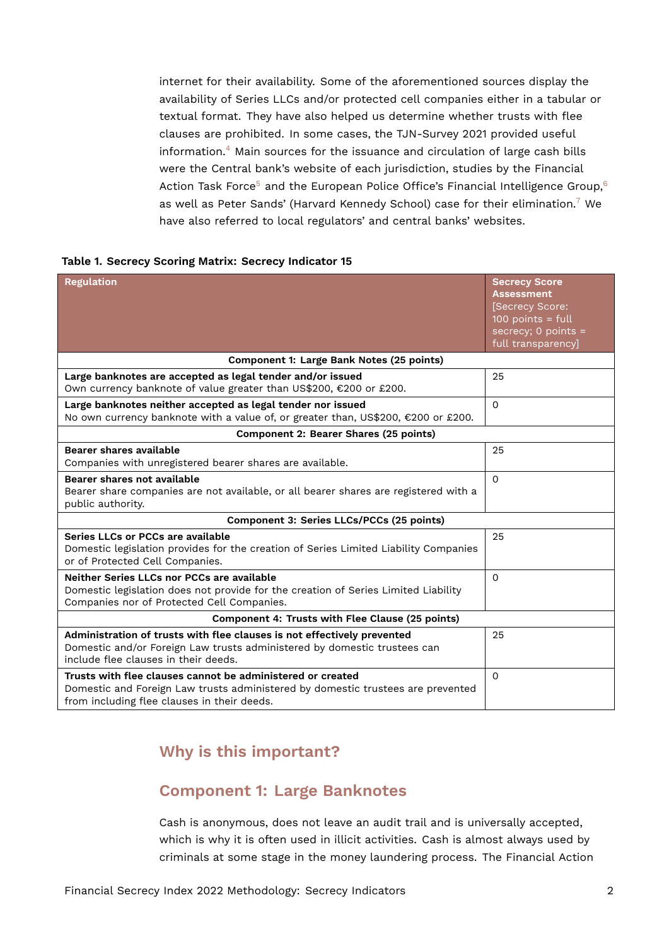<span id="page-1-4"></span><span id="page-1-3"></span><span id="page-1-2"></span><span id="page-1-1"></span>internet for their availability. Some of the aforementioned sources display the availability of Series LLCs and/or protected cell companies either in a tabular or textual format. They have also helped us determine whether trusts with flee clauses are prohibited. In some cases, the TJN-Survey 2021 provided useful information.[4](#page-12-3) Main sources for the issuance and circulation of large cash bills were the Central bank's website of each jurisdiction, studies by the Financial Action Task Force<sup>[5](#page-12-4)</sup> and the European Police Office's Financial Intelligence Group,<sup>[6](#page-12-5)</sup> as well as Peter Sands' (Harvard Kennedy School) case for their elimination.[7](#page-12-6) We have also referred to local regulators' and central banks' websites.

<span id="page-1-0"></span>

| <b>Regulation</b>                                                                                                                                                                            | <b>Secrecy Score</b><br><b>Assessment</b><br>[Secrecy Score:<br>100 points = $full$<br>secrecy; $0$ points =<br>full transparency] |
|----------------------------------------------------------------------------------------------------------------------------------------------------------------------------------------------|------------------------------------------------------------------------------------------------------------------------------------|
| Component 1: Large Bank Notes (25 points)                                                                                                                                                    |                                                                                                                                    |
| Large banknotes are accepted as legal tender and/or issued<br>Own currency banknote of value greater than US\$200, €200 or £200.                                                             | 25                                                                                                                                 |
| Large banknotes neither accepted as legal tender nor issued<br>No own currency banknote with a value of, or greater than, US\$200, €200 or £200.                                             | $\Omega$                                                                                                                           |
| <b>Component 2: Bearer Shares (25 points)</b>                                                                                                                                                |                                                                                                                                    |
| Bearer shares available<br>Companies with unregistered bearer shares are available.                                                                                                          | 25                                                                                                                                 |
| Bearer shares not available<br>Bearer share companies are not available, or all bearer shares are registered with a<br>public authority.                                                     | $\Omega$                                                                                                                           |
| Component 3: Series LLCs/PCCs (25 points)                                                                                                                                                    |                                                                                                                                    |
| Series LLCs or PCCs are available<br>Domestic legislation provides for the creation of Series Limited Liability Companies<br>or of Protected Cell Companies.                                 | 25                                                                                                                                 |
| Neither Series LLCs nor PCCs are available<br>Domestic legislation does not provide for the creation of Series Limited Liability<br>Companies nor of Protected Cell Companies.               | $\Omega$                                                                                                                           |
| Component 4: Trusts with Flee Clause (25 points)                                                                                                                                             |                                                                                                                                    |
| Administration of trusts with flee clauses is not effectively prevented<br>Domestic and/or Foreign Law trusts administered by domestic trustees can<br>include flee clauses in their deeds.  | 25                                                                                                                                 |
| Trusts with flee clauses cannot be administered or created<br>Domestic and Foreign Law trusts administered by domestic trustees are prevented<br>from including flee clauses in their deeds. | $\Omega$                                                                                                                           |

# **Why is this important?**

# **Component 1: Large Banknotes**

Cash is anonymous, does not leave an audit trail and is universally accepted, which is why it is often used in illicit activities. Cash is almost always used by criminals at some stage in the money laundering process. The Financial Action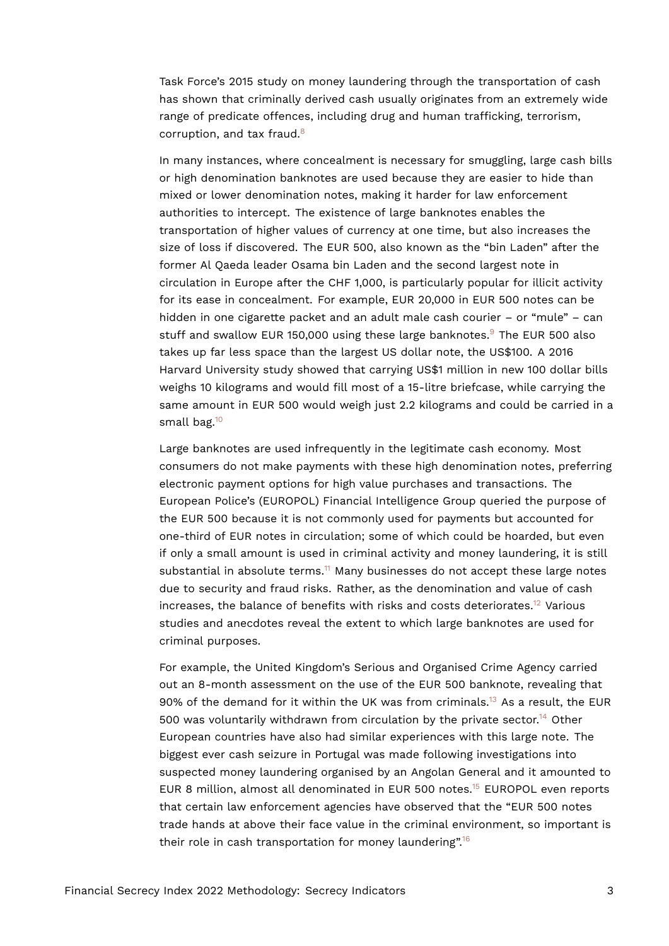Task Force's 2015 study on money laundering through the transportation of cash has shown that criminally derived cash usually originates from an extremely wide range of predicate offences, including drug and human trafficking, terrorism, corruption, and tax fraud.<sup>[8](#page-12-7)</sup>

<span id="page-2-0"></span>In many instances, where concealment is necessary for smuggling, large cash bills or high denomination banknotes are used because they are easier to hide than mixed or lower denomination notes, making it harder for law enforcement authorities to intercept. The existence of large banknotes enables the transportation of higher values of currency at one time, but also increases the size of loss if discovered. The EUR 500, also known as the "bin Laden" after the former Al Qaeda leader Osama bin Laden and the second largest note in circulation in Europe after the CHF 1,000, is particularly popular for illicit activity for its ease in concealment. For example, EUR 20,000 in EUR 500 notes can be hidden in one cigarette packet and an adult male cash courier – or "mule" – can stuff and swallow EUR 150,000 using these large banknotes.<sup>[9](#page-12-8)</sup> The EUR 500 also takes up far less space than the largest US dollar note, the US\$100. A 2016 Harvard University study showed that carrying US\$1 million in new 100 dollar bills weighs 10 kilograms and would fill most of a 15-litre briefcase, while carrying the same amount in EUR 500 would weigh just 2.2 kilograms and could be carried in a small bag.<sup>[10](#page-13-0)</sup>

<span id="page-2-2"></span><span id="page-2-1"></span>Large banknotes are used infrequently in the legitimate cash economy. Most consumers do not make payments with these high denomination notes, preferring electronic payment options for high value purchases and transactions. The European Police's (EUROPOL) Financial Intelligence Group queried the purpose of the EUR 500 because it is not commonly used for payments but accounted for one-third of EUR notes in circulation; some of which could be hoarded, but even if only a small amount is used in criminal activity and money laundering, it is still substantial in absolute terms.<sup>[11](#page-13-1)</sup> Many businesses do not accept these large notes due to security and fraud risks. Rather, as the denomination and value of cash increases, the balance of benefits with risks and costs deteriorates.<sup>[12](#page-13-2)</sup> Various studies and anecdotes reveal the extent to which large banknotes are used for criminal purposes.

<span id="page-2-8"></span><span id="page-2-7"></span><span id="page-2-6"></span><span id="page-2-5"></span><span id="page-2-4"></span><span id="page-2-3"></span>For example, the United Kingdom's Serious and Organised Crime Agency carried out an 8-month assessment on the use of the EUR 500 banknote, revealing that 90% of the demand for it within the UK was from criminals.<sup>[13](#page-13-3)</sup> As a result, the EUR 500 was voluntarily withdrawn from circulation by the private sector.<sup>[14](#page-13-4)</sup> Other European countries have also had similar experiences with this large note. The biggest ever cash seizure in Portugal was made following investigations into suspected money laundering organised by an Angolan General and it amounted to EUR 8 million, almost all denominated in EUR 500 notes.[15](#page-13-5) EUROPOL even reports that certain law enforcement agencies have observed that the "EUR 500 notes trade hands at above their face value in the criminal environment, so important is their role in cash transportation for money laundering".<sup>[16](#page-13-6)</sup>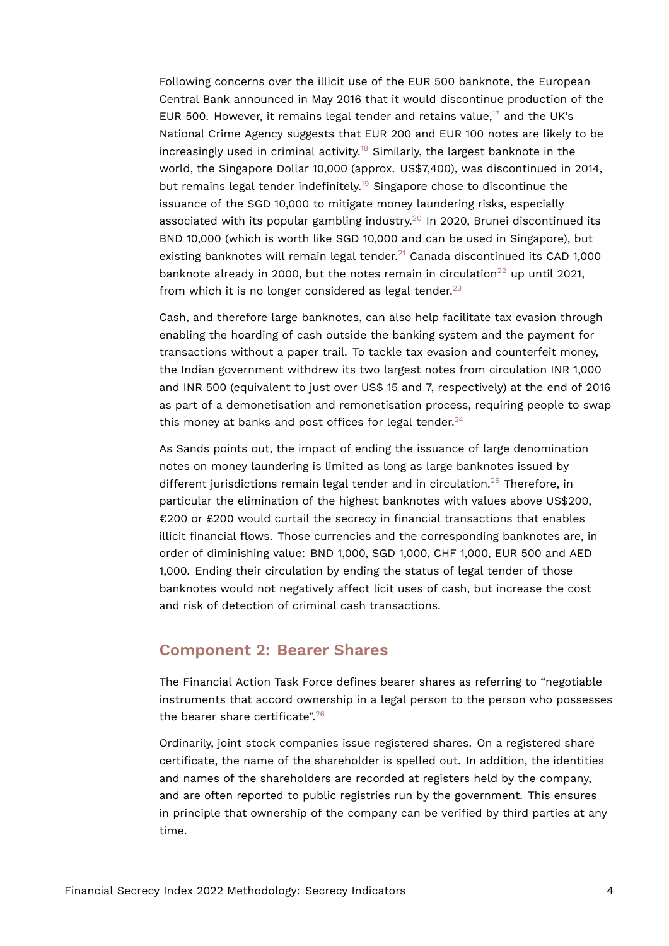<span id="page-3-2"></span><span id="page-3-1"></span><span id="page-3-0"></span>Following concerns over the illicit use of the EUR 500 banknote, the European Central Bank announced in May 2016 that it would discontinue production of the EUR 500. However, it remains legal tender and retains value,<sup>[17](#page-13-7)</sup> and the UK's National Crime Agency suggests that EUR 200 and EUR 100 notes are likely to be increasingly used in criminal activity.<sup>[18](#page-13-8)</sup> Similarly, the largest banknote in the world, the Singapore Dollar 10,000 (approx. US\$7,400), was discontinued in 2014, but remains legal tender indefinitely.<sup>[19](#page-13-9)</sup> Singapore chose to discontinue the issuance of the SGD 10,000 to mitigate money laundering risks, especially associated with its popular gambling industry.<sup>[20](#page-13-10)</sup> In 2020, Brunei discontinued its BND 10,000 (which is worth like SGD 10,000 and can be used in Singapore), but existing banknotes will remain legal tender.<sup>[21](#page-13-11)</sup> Canada discontinued its CAD 1,000 banknote already in 2000, but the notes remain in circulation<sup>[22](#page-13-12)</sup> up until 2021, from which it is no longer considered as legal tender. $23$ 

<span id="page-3-6"></span><span id="page-3-5"></span><span id="page-3-4"></span><span id="page-3-3"></span>Cash, and therefore large banknotes, can also help facilitate tax evasion through enabling the hoarding of cash outside the banking system and the payment for transactions without a paper trail. To tackle tax evasion and counterfeit money, the Indian government withdrew its two largest notes from circulation INR 1,000 and INR 500 (equivalent to just over US\$ 15 and 7, respectively) at the end of 2016 as part of a demonetisation and remonetisation process, requiring people to swap this money at banks and post offices for legal tender. $24$ 

<span id="page-3-8"></span><span id="page-3-7"></span>As Sands points out, the impact of ending the issuance of large denomination notes on money laundering is limited as long as large banknotes issued by different jurisdictions remain legal tender and in circulation.<sup>[25](#page-14-0)</sup> Therefore, in particular the elimination of the highest banknotes with values above US\$200, €200 or £200 would curtail the secrecy in financial transactions that enables illicit financial flows. Those currencies and the corresponding banknotes are, in order of diminishing value: BND 1,000, SGD 1,000, CHF 1,000, EUR 500 and AED 1,000. Ending their circulation by ending the status of legal tender of those banknotes would not negatively affect licit uses of cash, but increase the cost and risk of detection of criminal cash transactions.

## **Component 2: Bearer Shares**

The Financial Action Task Force defines bearer shares as referring to "negotiable instruments that accord ownership in a legal person to the person who possesses the bearer share certificate".<sup>[26](#page-14-1)</sup>

<span id="page-3-9"></span>Ordinarily, joint stock companies issue registered shares. On a registered share certificate, the name of the shareholder is spelled out. In addition, the identities and names of the shareholders are recorded at registers held by the company, and are often reported to public registries run by the government. This ensures in principle that ownership of the company can be verified by third parties at any time.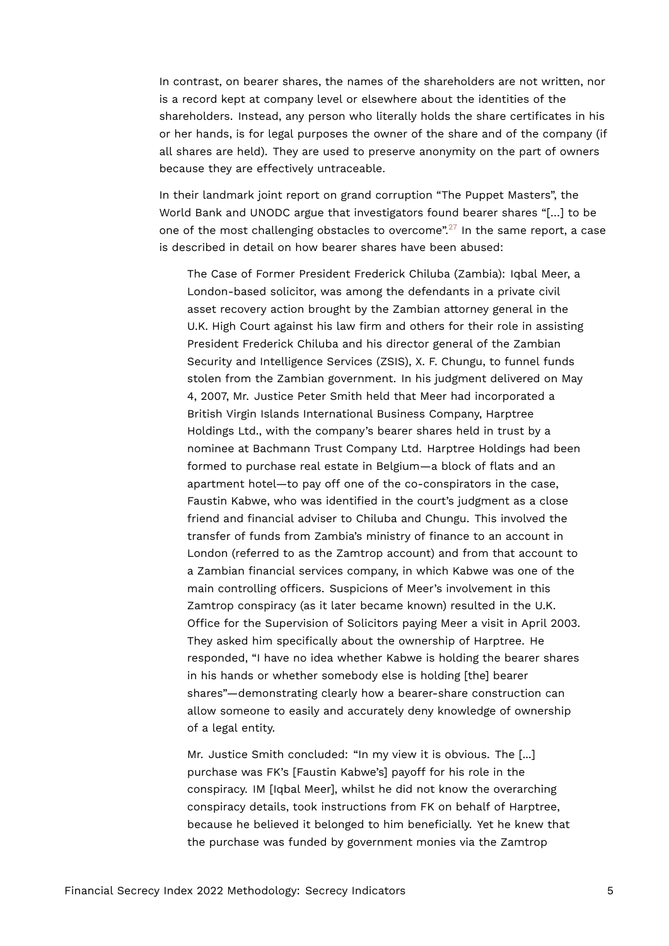In contrast, on bearer shares, the names of the shareholders are not written, nor is a record kept at company level or elsewhere about the identities of the shareholders. Instead, any person who literally holds the share certificates in his or her hands, is for legal purposes the owner of the share and of the company (if all shares are held). They are used to preserve anonymity on the part of owners because they are effectively untraceable.

In their landmark joint report on grand corruption "The Puppet Masters", the World Bank and UNODC argue that investigators found bearer shares "[…] to be one of the most challenging obstacles to overcome".<sup>[27](#page-14-2)</sup> In the same report, a case is described in detail on how bearer shares have been abused:

<span id="page-4-0"></span>The Case of Former President Frederick Chiluba (Zambia): Iqbal Meer, a London-based solicitor, was among the defendants in a private civil asset recovery action brought by the Zambian attorney general in the U.K. High Court against his law firm and others for their role in assisting President Frederick Chiluba and his director general of the Zambian Security and Intelligence Services (ZSIS), X. F. Chungu, to funnel funds stolen from the Zambian government. In his judgment delivered on May 4, 2007, Mr. Justice Peter Smith held that Meer had incorporated a British Virgin Islands International Business Company, Harptree Holdings Ltd., with the company's bearer shares held in trust by a nominee at Bachmann Trust Company Ltd. Harptree Holdings had been formed to purchase real estate in Belgium—a block of flats and an apartment hotel—to pay off one of the co-conspirators in the case, Faustin Kabwe, who was identified in the court's judgment as a close friend and financial adviser to Chiluba and Chungu. This involved the transfer of funds from Zambia's ministry of finance to an account in London (referred to as the Zamtrop account) and from that account to a Zambian financial services company, in which Kabwe was one of the main controlling officers. Suspicions of Meer's involvement in this Zamtrop conspiracy (as it later became known) resulted in the U.K. Office for the Supervision of Solicitors paying Meer a visit in April 2003. They asked him specifically about the ownership of Harptree. He responded, "I have no idea whether Kabwe is holding the bearer shares in his hands or whether somebody else is holding [the] bearer shares"—demonstrating clearly how a bearer-share construction can allow someone to easily and accurately deny knowledge of ownership of a legal entity.

Mr. Justice Smith concluded: "In my view it is obvious. The [...] purchase was FK's [Faustin Kabwe's] payoff for his role in the conspiracy. IM [Iqbal Meer], whilst he did not know the overarching conspiracy details, took instructions from FK on behalf of Harptree, because he believed it belonged to him beneficially. Yet he knew that the purchase was funded by government monies via the Zamtrop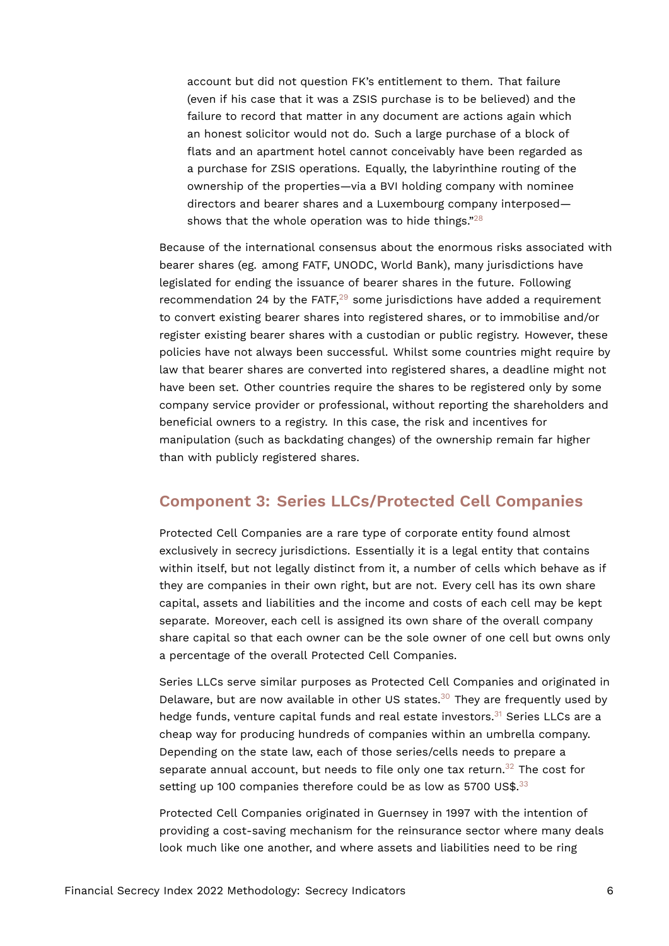account but did not question FK's entitlement to them. That failure (even if his case that it was a ZSIS purchase is to be believed) and the failure to record that matter in any document are actions again which an honest solicitor would not do. Such a large purchase of a block of flats and an apartment hotel cannot conceivably have been regarded as a purchase for ZSIS operations. Equally, the labyrinthine routing of the ownership of the properties—via a BVI holding company with nominee directors and bearer shares and a Luxembourg company interposed— shows that the whole operation was to hide things."<sup>[28](#page-14-3)</sup>

<span id="page-5-1"></span><span id="page-5-0"></span>Because of the international consensus about the enormous risks associated with bearer shares (eg. among FATF, UNODC, World Bank), many jurisdictions have legislated for ending the issuance of bearer shares in the future. Following recommendation 24 by the FATF, $^{29}$  $^{29}$  $^{29}$  some jurisdictions have added a requirement to convert existing bearer shares into registered shares, or to immobilise and/or register existing bearer shares with a custodian or public registry. However, these policies have not always been successful. Whilst some countries might require by law that bearer shares are converted into registered shares, a deadline might not have been set. Other countries require the shares to be registered only by some company service provider or professional, without reporting the shareholders and beneficial owners to a registry. In this case, the risk and incentives for manipulation (such as backdating changes) of the ownership remain far higher than with publicly registered shares.

# **Component 3: Series LLCs/Protected Cell Companies**

Protected Cell Companies are a rare type of corporate entity found almost exclusively in secrecy jurisdictions. Essentially it is a legal entity that contains within itself, but not legally distinct from it, a number of cells which behave as if they are companies in their own right, but are not. Every cell has its own share capital, assets and liabilities and the income and costs of each cell may be kept separate. Moreover, each cell is assigned its own share of the overall company share capital so that each owner can be the sole owner of one cell but owns only a percentage of the overall Protected Cell Companies.

<span id="page-5-3"></span><span id="page-5-2"></span>Series LLCs serve similar purposes as Protected Cell Companies and originated in Delaware, but are now available in other US states. $30$  They are frequently used by hedge funds, venture capital funds and real estate investors.<sup>[31](#page-14-6)</sup> Series LLCs are a cheap way for producing hundreds of companies within an umbrella company. Depending on the state law, each of those series/cells needs to prepare a separate annual account, but needs to file only one tax return.<sup>[32](#page-14-7)</sup> The cost for setting up 100 companies therefore could be as low as 5700 US\$.<sup>[33](#page-14-8)</sup>

<span id="page-5-5"></span><span id="page-5-4"></span>Protected Cell Companies originated in Guernsey in 1997 with the intention of providing a cost-saving mechanism for the reinsurance sector where many deals look much like one another, and where assets and liabilities need to be ring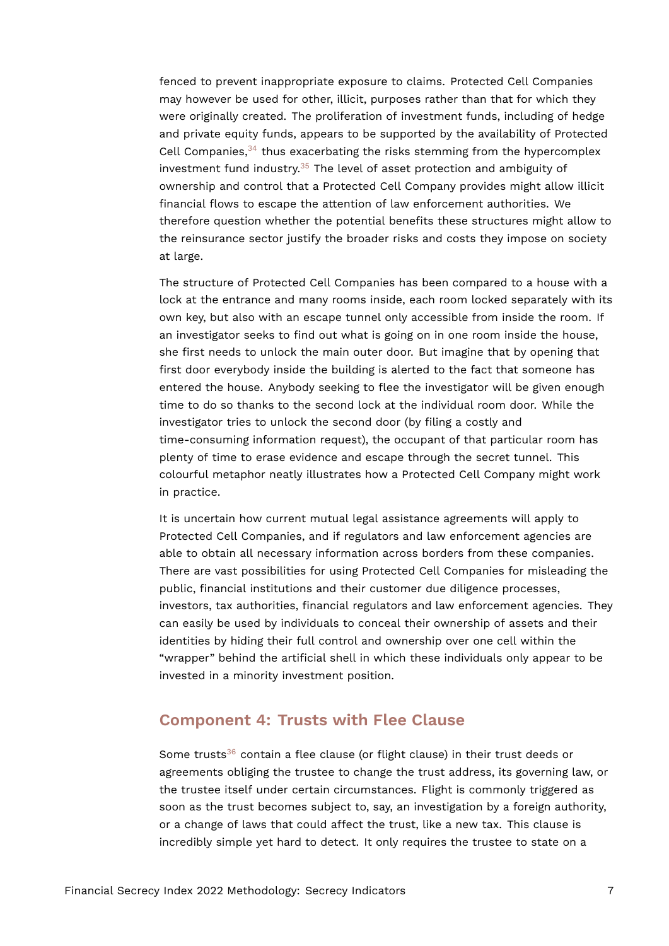<span id="page-6-1"></span><span id="page-6-0"></span>fenced to prevent inappropriate exposure to claims. Protected Cell Companies may however be used for other, illicit, purposes rather than that for which they were originally created. The proliferation of investment funds, including of hedge and private equity funds, appears to be supported by the availability of Protected Cell Companies, $34$  thus exacerbating the risks stemming from the hypercomplex investment fund industry. $35$  The level of asset protection and ambiguity of ownership and control that a Protected Cell Company provides might allow illicit financial flows to escape the attention of law enforcement authorities. We therefore question whether the potential benefits these structures might allow to the reinsurance sector justify the broader risks and costs they impose on society at large.

The structure of Protected Cell Companies has been compared to a house with a lock at the entrance and many rooms inside, each room locked separately with its own key, but also with an escape tunnel only accessible from inside the room. If an investigator seeks to find out what is going on in one room inside the house, she first needs to unlock the main outer door. But imagine that by opening that first door everybody inside the building is alerted to the fact that someone has entered the house. Anybody seeking to flee the investigator will be given enough time to do so thanks to the second lock at the individual room door. While the investigator tries to unlock the second door (by filing a costly and time-consuming information request), the occupant of that particular room has plenty of time to erase evidence and escape through the secret tunnel. This colourful metaphor neatly illustrates how a Protected Cell Company might work in practice.

It is uncertain how current mutual legal assistance agreements will apply to Protected Cell Companies, and if regulators and law enforcement agencies are able to obtain all necessary information across borders from these companies. There are vast possibilities for using Protected Cell Companies for misleading the public, financial institutions and their customer due diligence processes, investors, tax authorities, financial regulators and law enforcement agencies. They can easily be used by individuals to conceal their ownership of assets and their identities by hiding their full control and ownership over one cell within the "wrapper" behind the artificial shell in which these individuals only appear to be invested in a minority investment position.

# **Component 4: Trusts with Flee Clause**

<span id="page-6-2"></span>Some trusts<sup>[36](#page-14-11)</sup> contain a flee clause (or flight clause) in their trust deeds or agreements obliging the trustee to change the trust address, its governing law, or the trustee itself under certain circumstances. Flight is commonly triggered as soon as the trust becomes subject to, say, an investigation by a foreign authority, or a change of laws that could affect the trust, like a new tax. This clause is incredibly simple yet hard to detect. It only requires the trustee to state on a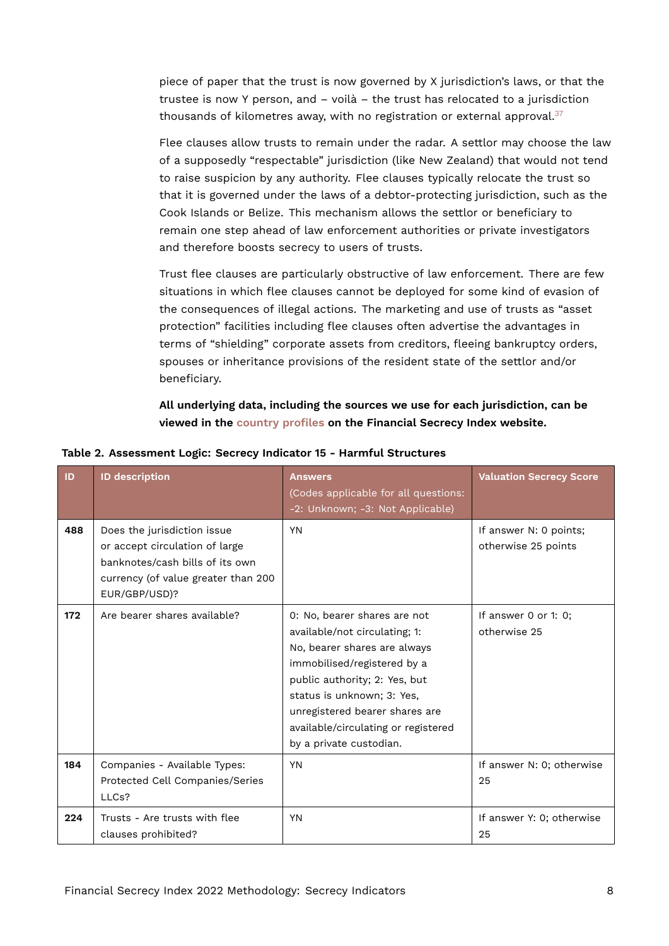piece of paper that the trust is now governed by X jurisdiction's laws, or that the trustee is now Y person, and – voilà – the trust has relocated to a jurisdiction thousands of kilometres away, with no registration or external approval. $37$ 

<span id="page-7-1"></span>Flee clauses allow trusts to remain under the radar. A settlor may choose the law of a supposedly "respectable" jurisdiction (like New Zealand) that would not tend to raise suspicion by any authority. Flee clauses typically relocate the trust so that it is governed under the laws of a debtor-protecting jurisdiction, such as the Cook Islands or Belize. This mechanism allows the settlor or beneficiary to remain one step ahead of law enforcement authorities or private investigators and therefore boosts secrecy to users of trusts.

Trust flee clauses are particularly obstructive of law enforcement. There are few situations in which flee clauses cannot be deployed for some kind of evasion of the consequences of illegal actions. The marketing and use of trusts as "asset protection" facilities including flee clauses often advertise the advantages in terms of "shielding" corporate assets from creditors, fleeing bankruptcy orders, spouses or inheritance provisions of the resident state of the settlor and/or beneficiary.

<span id="page-7-0"></span>**All underlying data, including the sources we use for each jurisdiction, can be viewed in the [country profiles](https://fsi.taxjustice.net/country-detail) on the Financial Secrecy Index website.**

| ID  | <b>ID description</b>                                                                                                                                    | <b>Answers</b><br>(Codes applicable for all questions:<br>-2: Unknown; -3: Not Applicable)                                                                                                                                                                                                      | <b>Valuation Secrecy Score</b>                |
|-----|----------------------------------------------------------------------------------------------------------------------------------------------------------|-------------------------------------------------------------------------------------------------------------------------------------------------------------------------------------------------------------------------------------------------------------------------------------------------|-----------------------------------------------|
| 488 | Does the jurisdiction issue<br>or accept circulation of large<br>banknotes/cash bills of its own<br>currency (of value greater than 200<br>EUR/GBP/USD)? | <b>YN</b>                                                                                                                                                                                                                                                                                       | If answer N: 0 points;<br>otherwise 25 points |
| 172 | Are bearer shares available?                                                                                                                             | 0: No, bearer shares are not<br>available/not circulating; 1:<br>No, bearer shares are always<br>immobilised/registered by a<br>public authority; 2: Yes, but<br>status is unknown; 3: Yes,<br>unregistered bearer shares are<br>available/circulating or registered<br>by a private custodian. | If answer 0 or 1: 0;<br>otherwise 25          |
| 184 | Companies - Available Types:<br>Protected Cell Companies/Series<br>LLCs?                                                                                 | <b>YN</b>                                                                                                                                                                                                                                                                                       | If answer N: 0; otherwise<br>25               |
| 224 | Trusts - Are trusts with flee<br>clauses prohibited?                                                                                                     | <b>YN</b>                                                                                                                                                                                                                                                                                       | If answer Y: 0; otherwise<br>25               |

**Table 2. Assessment Logic: Secrecy Indicator 15 - Harmful Structures**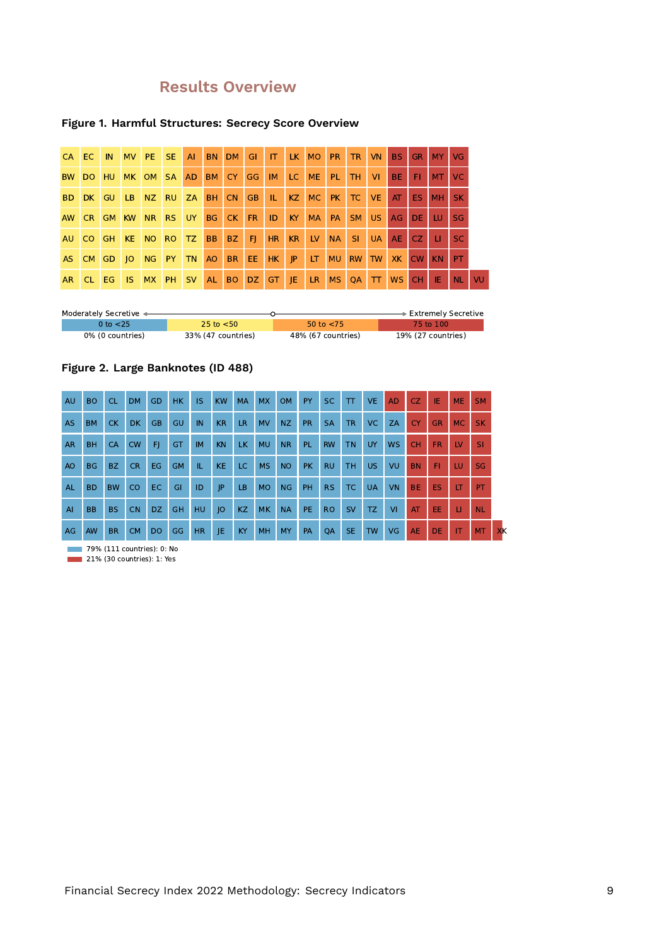# **Results Overview**

### **Figure 1. Harmful Structures: Secrecy Score Overview**

|           | CA EC IN |          |                             | MV PE SE                     | A    |     | BN DM GI IT LK MO PR       |          |    |     |            |           |           | TR VN     | <b>BS</b> | <b>GR</b> | MY VG     |           |           |
|-----------|----------|----------|-----------------------------|------------------------------|------|-----|----------------------------|----------|----|-----|------------|-----------|-----------|-----------|-----------|-----------|-----------|-----------|-----------|
| <b>BW</b> |          | DO HU    |                             | MK OM SA AD BM CY GG IM      |      |     |                            |          |    |     |            | LC ME PL  | TH.       | VI.       | BE.       | FL.       | MT VC     |           |           |
| BD.       | DK GU    |          | LB.                         | NZ RUZA BH CN GB IL KZ MC PK |      |     |                            |          |    |     |            |           |           | TC VE     | AT        | ES.       | <b>MH</b> | <b>SK</b> |           |
| AW        |          | CR GM KW |                             |                              |      |     | NR RS UY BG CK FR ID KY MA |          |    |     |            | PA        | <b>SM</b> |           | US AG DE  |           | <b>LU</b> | SG        |           |
| AU.       |          | CO GH KE |                             |                              |      |     | NO RO TZ BB BZ             | F        | HR | KR  | LV.        | <b>NA</b> | SI.       | <b>UA</b> |           | AE CZ     |           | SC.       |           |
| AS.       |          |          |                             | CM GD 10 NG PY TN AO BR      |      |     |                            | EE HK JP |    |     | <b>LIT</b> | <b>MU</b> | <b>RW</b> | <b>TW</b> |           | XK CW     | KN.       | <b>PT</b> |           |
| <b>AR</b> |          | CL EG    | $\overline{\phantom{a}}$ IS | MX PH                        | l SV | AL. | BO DZ GT                   |          |    | JE. | LR         | MS        |           | QA TT     | <b>WS</b> | <b>CH</b> | IE.       | <b>NL</b> | <b>VU</b> |

| Moderately Secretive < |                       |                    | $\overline{\phantom{a}}$ Extremely Secretive |
|------------------------|-----------------------|--------------------|----------------------------------------------|
| 0 to $<$ 25            | $25 \text{ to } < 50$ | 50 to $< 75$       | 75 to 100                                    |
| 0% (0 countries)       | 33% (47 countries)    | 48% (67 countries) | 19% (27 countries)                           |

### **Figure 2. Large Banknotes (ID 488)**

| <b>AU</b>      | <b>BO</b> | <b>CL</b> | <b>DM</b> | GD        | HK.       | <b>IS</b> | <b>KW</b> | <b>MA</b> | <b>MX</b> | <b>OM</b>      | PY        | <b>SC</b> | $\top$    | <b>VE</b> | <b>AD</b> | CZ.       | IE        | <b>ME</b>     | <b>SM</b> |    |
|----------------|-----------|-----------|-----------|-----------|-----------|-----------|-----------|-----------|-----------|----------------|-----------|-----------|-----------|-----------|-----------|-----------|-----------|---------------|-----------|----|
| AS             | <b>BM</b> | <b>CK</b> | <b>DK</b> | <b>GB</b> | GU        | IN        | <b>KR</b> | LR.       | <b>MV</b> | NZ.            | <b>PR</b> | <b>SA</b> | <b>TR</b> | <b>VC</b> | ZA        | <b>CY</b> | <b>GR</b> | <b>MC</b>     | <b>SK</b> |    |
| <b>AR</b>      | <b>BH</b> | <b>CA</b> | <b>CW</b> | F         | GT        | <b>IM</b> | <b>KN</b> | LK.       | <b>MU</b> | N <sub>R</sub> | PL.       | <b>RW</b> | <b>TN</b> | <b>UY</b> | <b>WS</b> | <b>CH</b> | <b>FR</b> | $\mathsf{IV}$ | <b>SI</b> |    |
| A <sub>O</sub> | <b>BG</b> | <b>BZ</b> | <b>CR</b> | EG        | <b>GM</b> | TL.       | <b>KE</b> | LC.       | <b>MS</b> | <b>NO</b>      | <b>PK</b> | <b>RU</b> | <b>TH</b> | <b>US</b> | VU        | <b>BN</b> | F1        | LU            | <b>SG</b> |    |
| <b>AL</b>      | <b>BD</b> | <b>BW</b> | <b>CO</b> | EC.       | GI        | ID        | JP        | LB.       | <b>MO</b> | NG             | PH        | <b>RS</b> | <b>TC</b> | <b>UA</b> | <b>VN</b> | <b>BE</b> | <b>ES</b> | LT            | PT.       |    |
| AI             | <b>BB</b> | <b>BS</b> | <b>CN</b> | DZ.       | <b>GH</b> | HU        | IO        | <b>KZ</b> | <b>MK</b> | <b>NA</b>      | PE.       | <b>RO</b> | <b>SV</b> | TZ.       | <b>VI</b> | AT        | EE.       | $\Box$        | <b>NL</b> |    |
| AG             | AW        | <b>BR</b> | <b>CM</b> | DO.       | GG        | HR.       | JE.       | KY        | <b>MH</b> | <b>MY</b>      | PA        | QA        | <b>SE</b> | <b>TW</b> | <b>VG</b> | AE        | DE.       | <b>IT</b>     | <b>MT</b> | XK |

**79% (111 countries): 0: No 21% (30 countries): 1: Yes**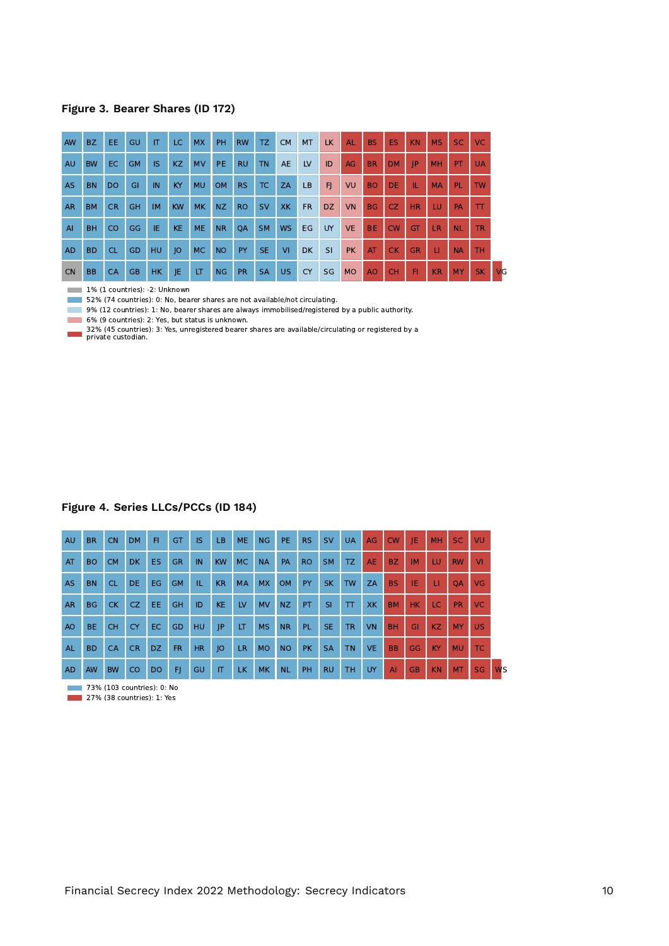### **Figure 3. Bearer Shares (ID 172)**

| <b>AW</b> | BZ        | EE.       | GU        | IT.       | LC.       | <b>MX</b> | <b>PH</b> | <b>RW</b>      | TZ.       | <b>CM</b> | <b>MT</b> | LK. | <b>AL</b> | <b>BS</b>      | FS.       | <b>KN</b> | <b>MS</b>    | SC.       | <b>VC</b>    |           |
|-----------|-----------|-----------|-----------|-----------|-----------|-----------|-----------|----------------|-----------|-----------|-----------|-----|-----------|----------------|-----------|-----------|--------------|-----------|--------------|-----------|
| <b>AU</b> | <b>BW</b> | EC.       | <b>GM</b> | <b>IS</b> | KZ.       | <b>MV</b> | PE.       | <b>RU</b>      | <b>TN</b> | <b>AE</b> | LV        | ID  | AG        | <b>BR</b>      | <b>DM</b> | P         | <b>MH</b>    | PT.       | <b>UA</b>    |           |
| <b>AS</b> | <b>BN</b> | <b>DO</b> | GI        | IN        | KY        | <b>MU</b> | <b>OM</b> | <b>RS</b>      | TC        | ZA        | <b>LB</b> | F   | VU        | <b>BO</b>      | <b>DE</b> | TL.       | <b>MA</b>    | PL.       | <b>TW</b>    |           |
| <b>AR</b> | <b>BM</b> | CR.       | <b>GH</b> | <b>IM</b> | <b>KW</b> | <b>MK</b> | NZ        | R <sub>O</sub> | SV        | <b>XK</b> | FR.       | DZ. | <b>VN</b> | <b>BG</b>      | CZ.       | <b>HR</b> | LU           | <b>PA</b> | $\mathbf{T}$ |           |
| AI        | <b>BH</b> | <b>CO</b> | GG        | IE.       | <b>KE</b> | <b>ME</b> | <b>NR</b> | QA             | <b>SM</b> | <b>WS</b> | EG        | UY  | <b>VE</b> | BE.            | <b>CW</b> | <b>GT</b> | <b>LR</b>    | <b>NL</b> | <b>TR</b>    |           |
| <b>AD</b> | <b>BD</b> | <b>CL</b> | GD        | <b>HU</b> | IO        | <b>MC</b> | <b>NO</b> | PY             | <b>SE</b> | <b>VI</b> | <b>DK</b> | SI  | <b>PK</b> | AT             | <b>CK</b> | <b>GR</b> | $\mathbf{H}$ | <b>NA</b> | <b>TH</b>    |           |
| <b>CN</b> | <b>BB</b> | <b>CA</b> | <b>GB</b> | HK.       | IE        | LT        | NG        | <b>PR</b>      | <b>SA</b> | <b>US</b> | <b>CY</b> | SG  | <b>MO</b> | A <sub>O</sub> | <b>CH</b> | FI.       | <b>KR</b>    | <b>MY</b> | <b>SK</b>    | <b>VG</b> |

1% (1 countries): -2: Unknown

52% (74 countries): 0: No, bearer shares are not available/not circulating.

9% (12 countries): 1: No, bearer shares are always immobilised/registered by a public authority.

6% (9 countries): 2: Yes, but status is unknown.

32% (45 countries): 3: Yes, unregistered bearer shares are available/circulating or registered by a private custodian.

| <b>AU</b>      | <b>BR</b> | <b>CN</b> | <b>DM</b> | FI        | GT        | <b>IS</b> | LB.       | <b>ME</b> | <b>NG</b> | PE.       | RS.       | <b>SV</b> | <b>UA</b> | AG        | <b>CW</b>      | IE        | <b>MH</b> | SC.       | VU        |                      |
|----------------|-----------|-----------|-----------|-----------|-----------|-----------|-----------|-----------|-----------|-----------|-----------|-----------|-----------|-----------|----------------|-----------|-----------|-----------|-----------|----------------------|
| AT             | <b>BO</b> | <b>CM</b> | DK.       | ES.       | <b>GR</b> | IN        | <b>KW</b> | <b>MC</b> | <b>NA</b> | <b>PA</b> | <b>RO</b> | <b>SM</b> | TZ.       | <b>AE</b> | BZ.            | <b>IM</b> | LU.       | <b>RW</b> | <b>VI</b> |                      |
| <b>AS</b>      | <b>BN</b> | <b>CL</b> | DE.       | EG.       | <b>GM</b> | TL.       | <b>KR</b> | <b>MA</b> | <b>MX</b> | OM.       | <b>PY</b> | <b>SK</b> | <b>TW</b> | ZA        | <b>BS</b>      | IE.       | LI.       | <b>OA</b> | <b>VG</b> |                      |
| <b>AR</b>      | <b>BG</b> | CK.       | CZ.       | EE.       | <b>GH</b> | ID        | <b>KE</b> | LV        | <b>MV</b> | NZ        | <b>PT</b> | -SI       | T         | <b>XK</b> | <b>BM</b>      | HK.       | LC.       | <b>PR</b> | VC.       |                      |
| A <sub>O</sub> | BE.       | <b>CH</b> | <b>CY</b> | EC.       | <b>GD</b> | <b>HU</b> | JP        | LT        | <b>MS</b> | NR.       | PL.       | SE.       | <b>TR</b> | <b>VN</b> | <b>BH</b>      | GI        | KZ.       | <b>MY</b> | US.       |                      |
| <b>AL</b>      | <b>BD</b> | <b>CA</b> | <b>CR</b> | DZ.       | FR.       | <b>HR</b> | JO        | LR.       | <b>MO</b> | <b>NO</b> | PK.       | <b>SA</b> | <b>TN</b> | VE.       | <b>BB</b>      | GG.       | KY.       | <b>MU</b> | TC        |                      |
| <b>AD</b>      | <b>AW</b> | <b>BW</b> | CO        | <b>DO</b> | FI.       | GU        | IT.       | LК.       | <b>MK</b> | <b>NL</b> | <b>PH</b> | <b>RU</b> | <b>TH</b> | <b>UY</b> | $\overline{A}$ | <b>GB</b> | <b>KN</b> | <b>MT</b> | <b>SG</b> | <b>W<sub>S</sub></b> |

#### **Figure 4. Series LLCs/PCCs (ID 184)**

**73% (103 countries): 0: No 27% (38 countries): 1: Yes**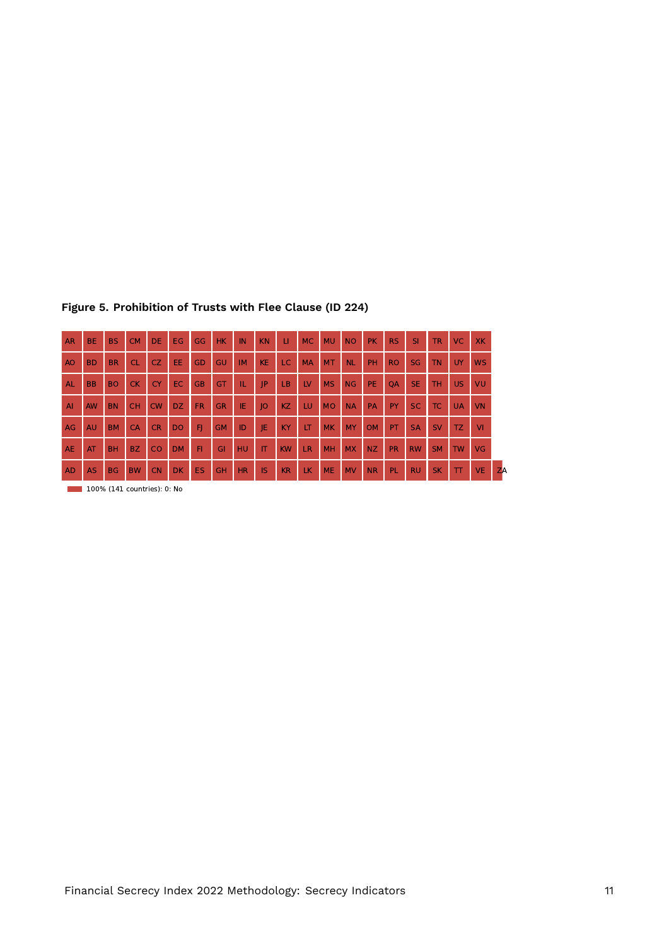| <b>AR</b>      | <b>BE</b> | <b>BS</b> | <b>CM</b> | DE.       | EG.       | GG        | HK.       | IN.       | <b>KN</b> | $\Box$    | <b>MC</b> | <b>MU</b> | <b>NO</b> | <b>PK</b> | RS.       | <b>SI</b> | <b>TR</b> | VC.          | <b>XK</b> |           |
|----------------|-----------|-----------|-----------|-----------|-----------|-----------|-----------|-----------|-----------|-----------|-----------|-----------|-----------|-----------|-----------|-----------|-----------|--------------|-----------|-----------|
| <b>AO</b>      | <b>BD</b> | <b>BR</b> | <b>CL</b> | CZ.       | EE.       | <b>GD</b> | GU        | <b>IM</b> | <b>KE</b> | LC.       | <b>MA</b> | <b>MT</b> | <b>NL</b> | PH        | <b>RO</b> | <b>SG</b> | <b>TN</b> | <b>UY</b>    | <b>WS</b> |           |
| <b>AL</b>      | <b>BB</b> | <b>BO</b> | <b>CK</b> | <b>CY</b> | EC.       | <b>GB</b> | GT        | TL.       | IP        | LB        | LV        | <b>MS</b> | NG        | PE.       | <b>OA</b> | <b>SE</b> | TH.       | US.          | VU        |           |
| $\overline{A}$ | <b>AW</b> | <b>BN</b> | <b>CH</b> | <b>CW</b> | DZ.       | FR.       | <b>GR</b> | IE        | 0         | KZ.       | LU.       | <b>MO</b> | <b>NA</b> | PA        | <b>PY</b> | <b>SC</b> | TC.       | <b>UA</b>    | <b>VN</b> |           |
| AG             | <b>AU</b> | <b>BM</b> | <b>CA</b> | <b>CR</b> | <b>DO</b> | F)        | <b>GM</b> | ID        | JE.       | KY        | LT.       | <b>MK</b> | <b>MY</b> | OM.       | <b>PT</b> | <b>SA</b> | <b>SV</b> | TZ           | <b>VI</b> |           |
| <b>AE</b>      | AT        | <b>BH</b> | BZ.       | CO        | <b>DM</b> | FI.       | GI        | <b>HU</b> | IT        | <b>KW</b> | <b>LR</b> | <b>MH</b> | <b>MX</b> | <b>NZ</b> | <b>PR</b> | <b>RW</b> | <b>SM</b> | TW.          | <b>VG</b> |           |
| <b>AD</b>      | AS.       | <b>BG</b> | <b>BW</b> | CN        | DK.       | ES.       | <b>GH</b> | <b>HR</b> | IS        | <b>KR</b> | LK.       | <b>ME</b> | <b>MV</b> | <b>NR</b> | PL.       | <b>RU</b> | <b>SK</b> | $\mathbf{T}$ | VE.       | <b>ZA</b> |

## **Figure 5. Prohibition of Trusts with Flee Clause (ID 224)**

**100% (141 countries): 0: No**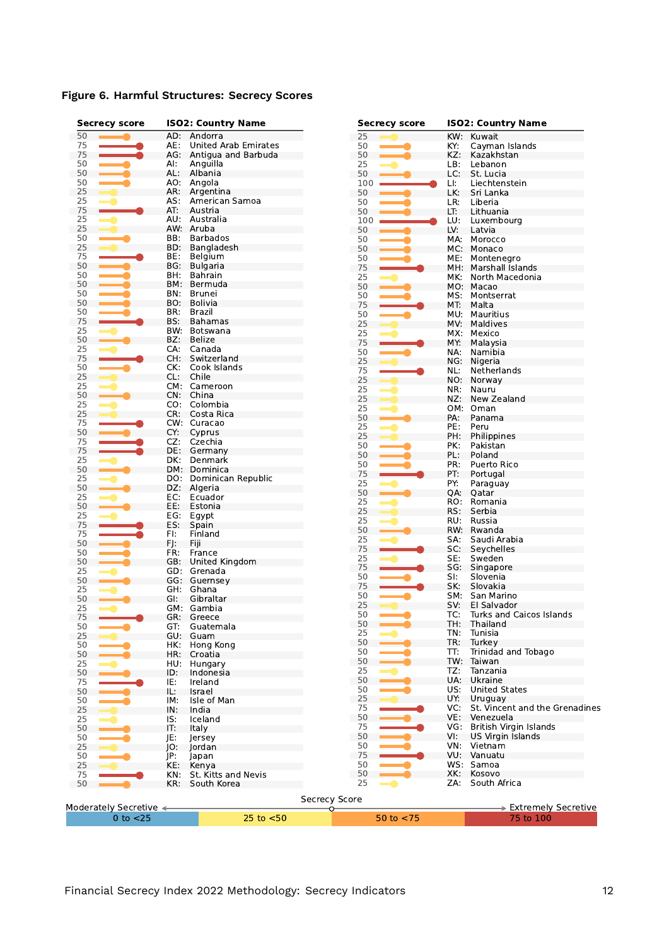|  |  | Figure 6. Harmful Structures: Secrecy Scores |  |  |
|--|--|----------------------------------------------|--|--|
|--|--|----------------------------------------------|--|--|

| <b>Secrecy score</b>   | <b>ISO2: Country Name</b>   | <b>Secrecy score</b> |     | <b>ISO2: Country Name</b>      |  |  |  |  |
|------------------------|-----------------------------|----------------------|-----|--------------------------------|--|--|--|--|
| 50                     | AD: Andorra                 | 25                   | KW: | Kuwait                         |  |  |  |  |
| 75                     | AE:<br>United Arab Emirates | 50                   | KY: | Cayman Islands                 |  |  |  |  |
| 75                     | AG:<br>Antigua and Barbuda  | 50                   | KZ: | Kazakhstan                     |  |  |  |  |
| 50                     | Al:<br>Anguilla             | 25                   | LB: | Lebanon                        |  |  |  |  |
| 50                     | AL:<br>Albania              | 50                   | LC: | St. Lucia                      |  |  |  |  |
| 50                     | AO:<br>Angola               | 100                  | LI: | Liechtenstein                  |  |  |  |  |
| 25                     | AR:<br>Argentina            | 50                   | LK: | Sri Lanka                      |  |  |  |  |
| 25                     | AS:<br>American Samoa       | 50                   | LR: | Liberia                        |  |  |  |  |
| 75                     | AT:<br>Austria              | 50                   | LT: |                                |  |  |  |  |
| 25                     | AU:<br>Australia            |                      |     | Lithuania                      |  |  |  |  |
| 25                     | AW: Aruba                   | 100                  | LU: | Luxembourg                     |  |  |  |  |
| 50                     | BB:<br><b>Barbados</b>      | 50                   | LV: | Latvia                         |  |  |  |  |
| 25                     |                             | 50                   | MA: | Morocco                        |  |  |  |  |
|                        | BD:<br>Bangladesh           | 50                   | MC: | Monaco                         |  |  |  |  |
| 75                     | BE:<br><b>Belgium</b>       | 50                   | ME: | Montenegro                     |  |  |  |  |
| 50                     | BG:<br>Bulgaria             | 75                   | MH: | Marshall Islands               |  |  |  |  |
| 50                     | BH.<br><b>Bahrain</b>       | 25                   | MK. | North Macedonia                |  |  |  |  |
| 50                     | BM:<br>Bermuda              | 50                   |     | MO: Macao                      |  |  |  |  |
| 50                     | BN.<br>Brunei               | 50                   | MS: | Montserrat                     |  |  |  |  |
| 50                     | BO:<br>Bolivia              | 75                   | MT. | Malta                          |  |  |  |  |
| 50                     | BR:<br>Brazil               | 50                   | MU: | Mauritius                      |  |  |  |  |
| 75                     | BS:<br>Bahamas              | 25                   | MV. | Maldives                       |  |  |  |  |
| 25                     | BW:<br>Botswana             | 25                   | MX: | Mexico                         |  |  |  |  |
| 50                     | BZ:<br>Belize               | 75                   | MY: | Malaysia                       |  |  |  |  |
| 25                     | CA:<br>Canada               |                      |     |                                |  |  |  |  |
| 75                     | CH:<br>Switzerland          | 50                   | NA: | Namibia                        |  |  |  |  |
| 50                     | CK:<br>Cook Islands         | 25                   | NG: | Nigeria                        |  |  |  |  |
| 25                     | CL:<br>Chile                | 75                   | NL: | Netherlands                    |  |  |  |  |
| 25                     | CM: Cameroon                | 25                   | NO: | Norway                         |  |  |  |  |
|                        |                             | 25                   | NR: | Nauru                          |  |  |  |  |
| 50                     | CN:<br>China                | 25                   | NZ: | New Zealand                    |  |  |  |  |
| 25                     | CO:<br>Colombia             | 25                   | OM: | Oman                           |  |  |  |  |
| 25                     | CR:<br>Costa Rica           | 50                   | PA: | Panama                         |  |  |  |  |
| 75                     | CW: Curacao                 | 25                   | PE: | Peru                           |  |  |  |  |
| 50                     | CY:<br>Cyprus               | 25                   | PH: | Philippines                    |  |  |  |  |
| 75                     | CZ:<br>Czechia              | 50                   | PK: | Pakistan                       |  |  |  |  |
| 75                     | DE:<br>Germany              | 50                   | PL: |                                |  |  |  |  |
| 25                     | DK:<br>Denmark              |                      |     | Poland                         |  |  |  |  |
| 50                     | DM:<br>Dominica             | 50                   | PR: | Puerto Rico                    |  |  |  |  |
| 25                     | DO:<br>Dominican Republic   | 75                   | PT: | Portugal                       |  |  |  |  |
| 50                     | DZ:<br>Algeria              | 25                   | PY: | Paraguay                       |  |  |  |  |
| 25                     | EC:<br>Ecuador              | 50                   | QA: | Qatar                          |  |  |  |  |
| 50                     | EE:<br>Estonia              | 25                   | RO: | Romania                        |  |  |  |  |
| 25                     | EG:<br>Egypt                | 25                   | RS: | Serbia                         |  |  |  |  |
| 75                     | ES:<br>Spain                | 25                   | RU: | Russia                         |  |  |  |  |
| 75                     | Finland                     | 50                   | RW: | Rwanda                         |  |  |  |  |
|                        | FI:                         | 25                   | SA: | Saudi Arabia                   |  |  |  |  |
| 50                     | FJ:<br>Fiji                 | 75                   | SC: | Seychelles                     |  |  |  |  |
| 50                     | FR:<br>France               | 25                   | SE: | Sweden                         |  |  |  |  |
| 50                     | GB:<br>United Kingdom       | 75                   | SG: | Singapore                      |  |  |  |  |
| 25                     | GD: Grenada                 | 50                   | SI: | Slovenia                       |  |  |  |  |
| 50                     | GG:<br>Guernsey             |                      |     |                                |  |  |  |  |
| 25                     | GH:<br>Ghana                | 75                   | SK: | Slovakia                       |  |  |  |  |
| 50                     | GI.<br>Gibraltar            | 50                   | SM: | San Marino                     |  |  |  |  |
| 25                     | GM: Gambia                  | 25                   | SV: | El Salvador                    |  |  |  |  |
| 75                     | GR:<br>Greece               | 50                   | TC: | Turks and Caicos Islands       |  |  |  |  |
| 50                     | GT:<br>Guatemala            | 50                   | IH: | Thailand                       |  |  |  |  |
| 25                     | GU:<br>Guam                 | 25                   | TN: | Tunisia                        |  |  |  |  |
| 50                     | HK:<br>Hong Kong            | 50                   | TR: | Turkey                         |  |  |  |  |
| 50                     | HR:<br>Croatia              | 50                   | TT: | Trinidad and Tobago            |  |  |  |  |
| 25                     |                             | 50                   | TW: | Taiwan                         |  |  |  |  |
|                        | HU.<br>Hungary              | 25                   | TZ: | Tanzania                       |  |  |  |  |
| 50                     | Indonesia<br>ID:            | 50                   | UA: | Ukraine                        |  |  |  |  |
| 75                     | IE:<br>Ireland              | 50                   | US: | <b>United States</b>           |  |  |  |  |
| 50                     | IL:<br>Israel               |                      |     |                                |  |  |  |  |
| 50                     | IM:<br>Isle of Man          | 25                   | UY: | Uruguay                        |  |  |  |  |
| 25                     | IN:<br>India                | 75                   | VC: | St. Vincent and the Grenadines |  |  |  |  |
| 25                     | IS:<br>Iceland              | 50                   | VE: | Venezuela                      |  |  |  |  |
| 50                     | IT:<br>Italy                | 75                   | VG: | British Virgin Islands         |  |  |  |  |
| 50                     | JE:<br>Jersey               | 50                   | VI: | US Virgin Islands              |  |  |  |  |
| 25                     | lordan<br>JO:               | 50                   | VN: | Vietnam                        |  |  |  |  |
| 50                     | JP:<br>Japan                | 75                   |     | VU: Vanuatu                    |  |  |  |  |
| 25                     | KE:<br>Kenya                | 50                   |     | WS: Samoa                      |  |  |  |  |
| 75                     | St. Kitts and Nevis<br>KN:  | 50                   | XK: | Kosovo                         |  |  |  |  |
| 50                     | KR:<br>South Korea          | 25                   | ZA: | South Africa                   |  |  |  |  |
|                        |                             |                      |     |                                |  |  |  |  |
|                        |                             | Secrecy Score        |     |                                |  |  |  |  |
| Moderately Secretive < |                             | ᢦ                    |     | > Extremely Secretive          |  |  |  |  |
| $0$ to $<$ 25          | $25$ to $< 50$              | 50 to $<$ 75         |     | 75 to 100                      |  |  |  |  |
|                        |                             |                      |     |                                |  |  |  |  |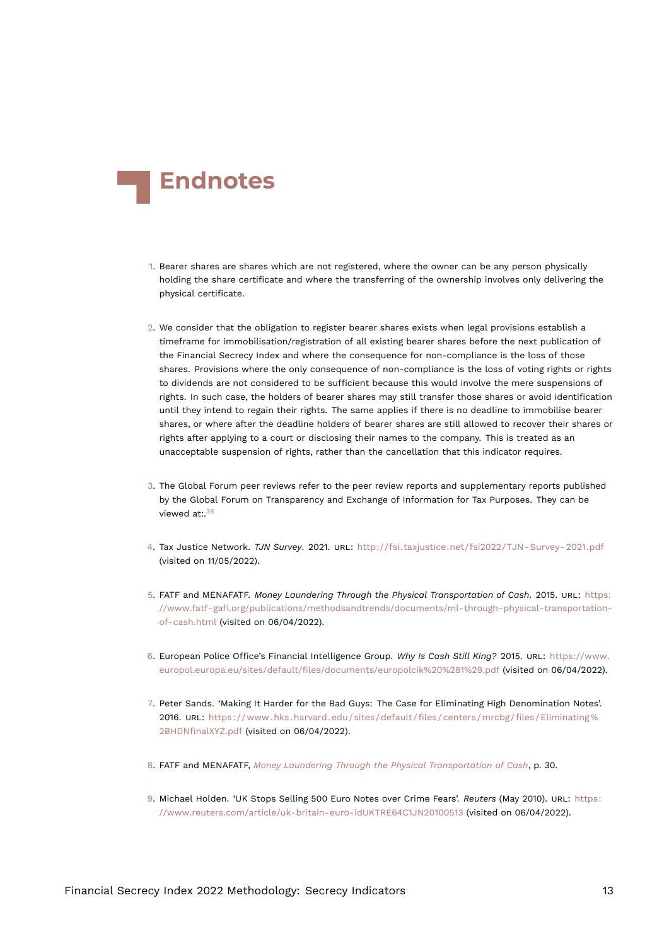<span id="page-12-13"></span>

- <span id="page-12-0"></span>[1.](#page-0-0) Bearer shares are shares which are not registered, where the owner can be any person physically holding the share certificate and where the transferring of the ownership involves only delivering the physical certificate.
- <span id="page-12-1"></span>[2.](#page-0-1) We consider that the obligation to register bearer shares exists when legal provisions establish a timeframe for immobilisation/registration of all existing bearer shares before the next publication of the Financial Secrecy Index and where the consequence for non-compliance is the loss of those shares. Provisions where the only consequence of non-compliance is the loss of voting rights or rights to dividends are not considered to be sufficient because this would involve the mere suspensions of rights. In such case, the holders of bearer shares may still transfer those shares or avoid identification until they intend to regain their rights. The same applies if there is no deadline to immobilise bearer shares, or where after the deadline holders of bearer shares are still allowed to recover their shares or rights after applying to a court or disclosing their names to the company. This is treated as an unacceptable suspension of rights, rather than the cancellation that this indicator requires.
- <span id="page-12-12"></span><span id="page-12-2"></span>[3.](#page-0-2) The Global Forum peer reviews refer to the peer review reports and supplementary reports published by the Global Forum on Transparency and Exchange of Information for Tax Purposes. They can be viewed at:.[38](#page-15-0)
- <span id="page-12-3"></span>[4.](#page-1-1) Tax Justice Network. *TJN Survey*. 2021. URL: [http://fsi.taxjustice.net/fsi2022/TJN- Survey- 2021.pdf](http://fsi.taxjustice.net/fsi2022/TJN-Survey-2021.pdf) (visited on 11/05/2022).
- <span id="page-12-9"></span><span id="page-12-4"></span>[5.](#page-1-2) FATF and MENAFATF. *Money Laundering Through the Physical Transportation of Cash*. 2015. URL: [https:](https://www.fatf-gafi.org/publications/methodsandtrends/documents/ml-through-physical-transportation-of-cash.html) [//www.fatf-gafi.org/publications/methodsandtrends/documents/ml-through-physical-transportation](https://www.fatf-gafi.org/publications/methodsandtrends/documents/ml-through-physical-transportation-of-cash.html)[of-cash.html](https://www.fatf-gafi.org/publications/methodsandtrends/documents/ml-through-physical-transportation-of-cash.html) (visited on 06/04/2022).
- <span id="page-12-11"></span><span id="page-12-5"></span>[6.](#page-1-3) European Police Office's Financial Intelligence Group. *Why Is Cash Still King?* 2015. URL: [https://www.](https://www.europol.europa.eu/sites/default/files/documents/europolcik%20%281%29.pdf) [europol.europa.eu/sites/default/files/documents/europolcik%20%281%29.pdf](https://www.europol.europa.eu/sites/default/files/documents/europolcik%20%281%29.pdf) (visited on 06/04/2022).
- <span id="page-12-10"></span><span id="page-12-6"></span>[7.](#page-1-4) Peter Sands. 'Making It Harder for the Bad Guys: The Case for Eliminating High Denomination Notes'. 2016. URL: [https://www.hks.harvard.edu/sites/default/files/centers/mrcbg/files/Eliminating%](https://www.hks.harvard.edu/sites/default/files/centers/mrcbg/files/Eliminating%2BHDNfinalXYZ.pdf) [2BHDNfinalXYZ.pdf](https://www.hks.harvard.edu/sites/default/files/centers/mrcbg/files/Eliminating%2BHDNfinalXYZ.pdf) (visited on 06/04/2022).
- <span id="page-12-7"></span>[8.](#page-2-0) FATF and MENAFATF, *[Money Laundering Through the Physical Transportation of Cash](#page-12-9)*, p. 30.
- <span id="page-12-8"></span>[9.](#page-2-1) Michael Holden. 'UK Stops Selling 500 Euro Notes over Crime Fears'. *Reuters* (May 2010). URL: [https:](https://www.reuters.com/article/uk-britain-euro-idUKTRE64C1JN20100513) [//www.reuters.com/article/uk-britain-euro-idUKTRE64C1JN20100513](https://www.reuters.com/article/uk-britain-euro-idUKTRE64C1JN20100513) (visited on 06/04/2022).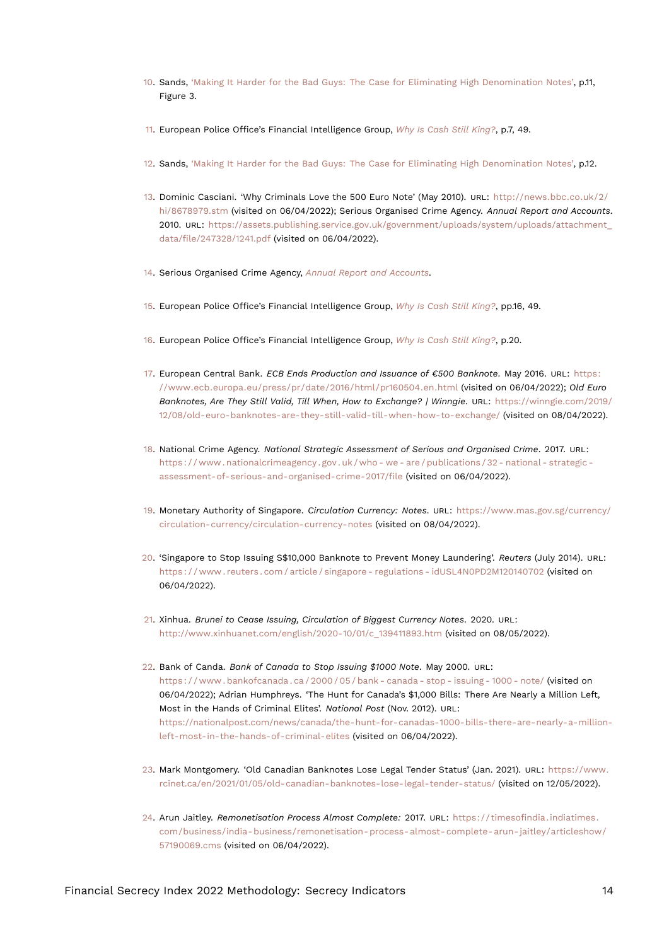- <span id="page-13-16"></span><span id="page-13-0"></span>[10.](#page-2-2) Sands, ['Making It Harder for the Bad Guys: The Case for Eliminating High Denomination Notes',](#page-12-10) p.11, Figure 3.
- <span id="page-13-1"></span>[11.](#page-2-3) European Police Office's Financial Intelligence Group, *[Why Is Cash Still King?](#page-12-11)*, p.7, 49.
- <span id="page-13-2"></span>[12.](#page-2-4) Sands, ['Making It Harder for the Bad Guys: The Case for Eliminating High Denomination Notes',](#page-12-10) p.12.
- <span id="page-13-15"></span><span id="page-13-3"></span>[13.](#page-2-5) Dominic Casciani. 'Why Criminals Love the 500 Euro Note' (May 2010). URL: [http://news.bbc.co.uk/2/](http://news.bbc.co.uk/2/hi/8678979.stm) [hi/8678979.stm](http://news.bbc.co.uk/2/hi/8678979.stm) (visited on 06/04/2022); Serious Organised Crime Agency. *Annual Report and Accounts*. 2010. URL: [https://assets.publishing.service.gov.uk/government/uploads/system/uploads/attachment\\_](https://assets.publishing.service.gov.uk/government/uploads/system/uploads/attachment_data/file/247328/1241.pdf) [data/file/247328/1241.pdf](https://assets.publishing.service.gov.uk/government/uploads/system/uploads/attachment_data/file/247328/1241.pdf) (visited on 06/04/2022).
- <span id="page-13-4"></span>[14.](#page-2-6) Serious Organised Crime Agency, *[Annual Report and Accounts](#page-13-15)*.
- <span id="page-13-5"></span>[15.](#page-2-7) European Police Office's Financial Intelligence Group, *[Why Is Cash Still King?](#page-12-11)*, pp.16, 49.
- <span id="page-13-6"></span>[16.](#page-2-8) European Police Office's Financial Intelligence Group, *[Why Is Cash Still King?](#page-12-11)*, p.20.
- <span id="page-13-7"></span>[17.](#page-3-0) European Central Bank. *ECB Ends Production and Issuance of €500 Banknote*. May 2016. URL: [https:](https://www.ecb.europa.eu/press/pr/date/2016/html/pr160504.en.html) [//www.ecb.europa.eu/press/pr/date/2016/html/pr160504.en.html](https://www.ecb.europa.eu/press/pr/date/2016/html/pr160504.en.html) (visited on 06/04/2022); *Old Euro Banknotes, Are They Still Valid, Till When, How to Exchange? | Winngie*. URL: [https://winngie.com/2019/](https://winngie.com/2019/12/08/old-euro-banknotes-are-they-still-valid-till-when-how-to-exchange/) [12/08/old-euro-banknotes-are-they-still-valid-till-when-how-to-exchange/](https://winngie.com/2019/12/08/old-euro-banknotes-are-they-still-valid-till-when-how-to-exchange/) (visited on 08/04/2022).
- <span id="page-13-8"></span>[18.](#page-3-1) National Crime Agency. *National Strategic Assessment of Serious and Organised Crime*. 2017. URL: [https : / / www . nationalcrimeagency . gov . uk / who - we - are / publications / 32 - national - strategic](https://www.nationalcrimeagency.gov.uk/who-we-are/publications/32-national-strategic-assessment-of-serious-and-organised-crime-2017/file)  [assessment-of-serious-and-organised-crime-2017/file](https://www.nationalcrimeagency.gov.uk/who-we-are/publications/32-national-strategic-assessment-of-serious-and-organised-crime-2017/file) (visited on 06/04/2022).
- <span id="page-13-9"></span>[19.](#page-3-2) Monetary Authority of Singapore. *Circulation Currency: Notes*. URL: [https://www.mas.gov.sg/currency/](https://www.mas.gov.sg/currency/circulation-currency/circulation-currency-notes) [circulation-currency/circulation-currency-notes](https://www.mas.gov.sg/currency/circulation-currency/circulation-currency-notes) (visited on 08/04/2022).
- <span id="page-13-10"></span>[20.](#page-3-3) 'Singapore to Stop Issuing S\$10,000 Banknote to Prevent Money Laundering'. *Reuters* (July 2014). URL: [https : / / www . reuters . com / article / singapore - regulations - idUSL4N0PD2M120140702](https://www.reuters.com/article/singapore-regulations-idUSL4N0PD2M120140702) (visited on 06/04/2022).
- <span id="page-13-11"></span>[21.](#page-3-4) Xinhua. *Brunei to Cease Issuing, Circulation of Biggest Currency Notes*. 2020. URL: [http://www.xinhuanet.com/english/2020-10/01/c\\_139411893.htm](http://www.xinhuanet.com/english/2020-10/01/c_139411893.htm) (visited on 08/05/2022).
- <span id="page-13-12"></span>[22.](#page-3-5) Bank of Canda. *Bank of Canada to Stop Issuing \$1000 Note*. May 2000. URL: [https : / / www . bankofcanada . ca / 2000 / 05 / bank - canada - stop - issuing - 1000 - note/](https://www.bankofcanada.ca/2000/05/bank-canada-stop-issuing-1000-note/) (visited on 06/04/2022); Adrian Humphreys. 'The Hunt for Canada's \$1,000 Bills: There Are Nearly a Million Left, Most in the Hands of Criminal Elites'. *National Post* (Nov. 2012). URL: [https://nationalpost.com/news/canada/the-hunt-for-canadas-1000-bills-there-are-nearly-a-million](https://nationalpost.com/news/canada/the-hunt-for-canadas-1000-bills-there-are-nearly-a-million-left-most-in-the-hands-of-criminal-elites)[left-most-in-the-hands-of-criminal-elites](https://nationalpost.com/news/canada/the-hunt-for-canadas-1000-bills-there-are-nearly-a-million-left-most-in-the-hands-of-criminal-elites) (visited on 06/04/2022).
- <span id="page-13-13"></span>[23.](#page-3-6) Mark Montgomery. 'Old Canadian Banknotes Lose Legal Tender Status' (Jan. 2021). URL: [https://www.](https://www.rcinet.ca/en/2021/01/05/old-canadian-banknotes-lose-legal-tender-status/) [rcinet.ca/en/2021/01/05/old-canadian-banknotes-lose-legal-tender-status/](https://www.rcinet.ca/en/2021/01/05/old-canadian-banknotes-lose-legal-tender-status/) (visited on 12/05/2022).
- <span id="page-13-14"></span>[24.](#page-3-7) Arun Jaitley. *Remonetisation Process Almost Complete:* 2017. URL: [https://timesofindia.indiatimes.](https://timesofindia.indiatimes.com/business/india-business/remonetisation-process-almost-complete-arun-jaitley/articleshow/57190069.cms) [com/business/india-business/remonetisation-process-almost-complete-arun-jaitley/articleshow/](https://timesofindia.indiatimes.com/business/india-business/remonetisation-process-almost-complete-arun-jaitley/articleshow/57190069.cms) [57190069.cms](https://timesofindia.indiatimes.com/business/india-business/remonetisation-process-almost-complete-arun-jaitley/articleshow/57190069.cms) (visited on 06/04/2022).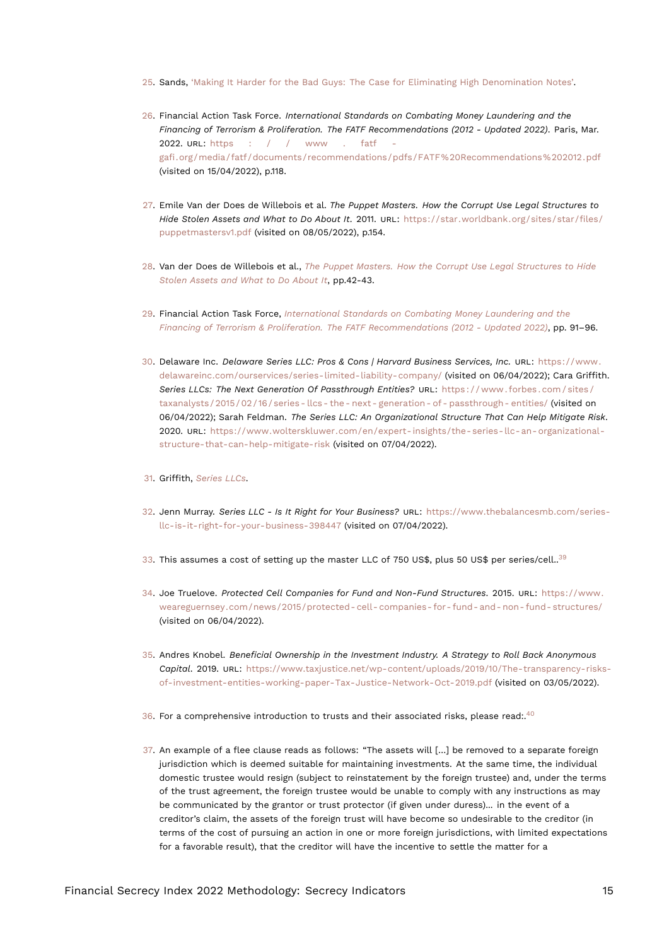- <span id="page-14-18"></span><span id="page-14-0"></span>[25.](#page-3-8) Sands, ['Making It Harder for the Bad Guys: The Case for Eliminating High Denomination Notes'.](#page-12-10)
- <span id="page-14-14"></span><span id="page-14-1"></span>[26.](#page-3-9) Financial Action Task Force. *International Standards on Combating Money Laundering and the Financing of Terrorism & Proliferation. The FATF Recommendations (2012 - Updated 2022)*. Paris, Mar. 2022. URL: https : / / www . fatf [gafi.org/media/fatf/documents/recommendations/pdfs/FATF%20Recommendations%202012.pdf](https://www.fatf-gafi.org/media/fatf/documents/recommendations/pdfs/FATF%20Recommendations%202012.pdf) (visited on 15/04/2022), p.118.
- <span id="page-14-13"></span><span id="page-14-2"></span>[27.](#page-4-0) Emile Van der Does de Willebois et al. *The Puppet Masters. How the Corrupt Use Legal Structures to Hide Stolen Assets and What to Do About It*. 2011. URL: [https://star.worldbank.org/sites/star/files/](https://star.worldbank.org/sites/star/files/puppetmastersv1.pdf) [puppetmastersv1.pdf](https://star.worldbank.org/sites/star/files/puppetmastersv1.pdf) (visited on 08/05/2022), p.154.
- <span id="page-14-3"></span>[28.](#page-5-0) Van der Does de Willebois et al., *[The Puppet Masters. How the Corrupt Use Legal Structures to Hide](#page-14-13) [Stolen Assets and What to Do About It](#page-14-13)*, pp.42-43.
- <span id="page-14-4"></span>[29.](#page-5-1) Financial Action Task Force, *[International Standards on Combating Money Laundering and the](#page-14-14) [Financing of Terrorism & Proliferation. The FATF Recommendations \(2012 - Updated 2022\)](#page-14-14)*, pp. 91–96.
- <span id="page-14-15"></span><span id="page-14-5"></span>[30.](#page-5-2) Delaware Inc. *Delaware Series LLC: Pros & Cons | Harvard Business Services, Inc.* URL: [https://www.](https://www.delawareinc.com/ourservices/series-limited-liability-company/) [delawareinc.com/ourservices/series-limited-liability-company/](https://www.delawareinc.com/ourservices/series-limited-liability-company/) (visited on 06/04/2022); Cara Griffith. *Series LLCs: The Next Generation Of Passthrough Entities?* URL: [https : / / www . forbes . com / sites /](https://www.forbes.com/sites/taxanalysts/2015/02/16/series-llcs-the-next-generation-of-passthrough-entities/) [taxanalysts / 2015 / 02 / 16 / series - llcs - the - next - generation - of - passthrough - entities/](https://www.forbes.com/sites/taxanalysts/2015/02/16/series-llcs-the-next-generation-of-passthrough-entities/) (visited on 06/04/2022); Sarah Feldman. *The Series LLC: An Organizational Structure That Can Help Mitigate Risk*. 2020. URL: [https://www.wolterskluwer.com/en/expert-insights/the-series-llc-an-organizational](https://www.wolterskluwer.com/en/expert-insights/the-series-llc-an-organizational-structure-that-can-help-mitigate-risk)[structure-that-can-help-mitigate-risk](https://www.wolterskluwer.com/en/expert-insights/the-series-llc-an-organizational-structure-that-can-help-mitigate-risk) (visited on 07/04/2022).
- <span id="page-14-6"></span>[31.](#page-5-3) Griffith, *[Series LLCs](#page-14-15)*.
- <span id="page-14-7"></span>[32.](#page-5-4) Jenn Murray. *Series LLC - Is It Right for Your Business?* URL: [https://www.thebalancesmb.com/series](https://www.thebalancesmb.com/series-llc-is-it-right-for-your-business-398447)[llc-is-it-right-for-your-business-398447](https://www.thebalancesmb.com/series-llc-is-it-right-for-your-business-398447) (visited on 07/04/2022).
- <span id="page-14-16"></span><span id="page-14-8"></span>[33.](#page-5-5) This assumes a cost of setting up the master LLC of 750 US\$, plus 50 US\$ per series/cell..<sup>[39](#page-15-1)</sup>
- <span id="page-14-9"></span>[34.](#page-6-0) Joe Truelove. *Protected Cell Companies for Fund and Non-Fund Structures*. 2015. URL: [https://www.](https://www.weareguernsey.com/news/2015/protected-cell-companies-for-fund-and-non-fund-structures/) [weareguernsey.com/news/2015/protected- cell- companies- for- fund- and- non- fund- structures/](https://www.weareguernsey.com/news/2015/protected-cell-companies-for-fund-and-non-fund-structures/) (visited on 06/04/2022).
- <span id="page-14-10"></span>[35.](#page-6-1) Andres Knobel. *Beneficial Ownership in the Investment Industry. A Strategy to Roll Back Anonymous Capital*. 2019. URL: [https://www.taxjustice.net/wp-content/uploads/2019/10/The-transparency-risks](https://www.taxjustice.net/wp-content/uploads/2019/10/The-transparency-risks-of-investment-entities-working-paper-Tax-Justice-Network-Oct-2019.pdf)[of-investment-entities-working-paper-Tax-Justice-Network-Oct-2019.pdf](https://www.taxjustice.net/wp-content/uploads/2019/10/The-transparency-risks-of-investment-entities-working-paper-Tax-Justice-Network-Oct-2019.pdf) (visited on 03/05/2022).
- <span id="page-14-17"></span><span id="page-14-11"></span>[36.](#page-6-2) For a comprehensive introduction to trusts and their associated risks, please read:. $40$
- <span id="page-14-12"></span>[37.](#page-7-1) An example of a flee clause reads as follows: "The assets will […] be removed to a separate foreign jurisdiction which is deemed suitable for maintaining investments. At the same time, the individual domestic trustee would resign (subject to reinstatement by the foreign trustee) and, under the terms of the trust agreement, the foreign trustee would be unable to comply with any instructions as may be communicated by the grantor or trust protector (if given under duress)... in the event of a creditor's claim, the assets of the foreign trust will have become so undesirable to the creditor (in terms of the cost of pursuing an action in one or more foreign jurisdictions, with limited expectations for a favorable result), that the creditor will have the incentive to settle the matter for a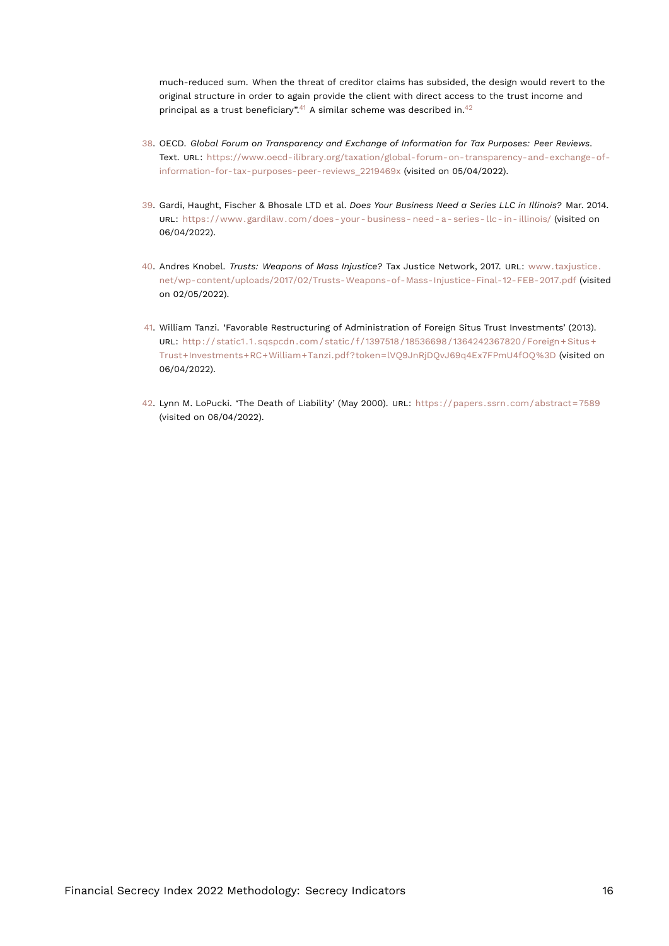<span id="page-15-7"></span><span id="page-15-6"></span><span id="page-15-5"></span>much-reduced sum. When the threat of creditor claims has subsided, the design would revert to the original structure in order to again provide the client with direct access to the trust income and principal as a trust beneficiary".<sup>[41](#page-15-3)</sup> A similar scheme was described in.<sup>[42](#page-15-4)</sup>

- <span id="page-15-0"></span>[38.](#page-12-12) OECD. *Global Forum on Transparency and Exchange of Information for Tax Purposes: Peer Reviews*. Text. URL: [https://www.oecd-ilibrary.org/taxation/global-forum-on-transparency-and-exchange-of](https://www.oecd-ilibrary.org/taxation/global-forum-on-transparency-and-exchange-of-information-for-tax-purposes-peer-reviews_2219469x)[information-for-tax-purposes-peer-reviews\\_2219469x](https://www.oecd-ilibrary.org/taxation/global-forum-on-transparency-and-exchange-of-information-for-tax-purposes-peer-reviews_2219469x) (visited on 05/04/2022).
- <span id="page-15-1"></span>[39.](#page-14-16) Gardi, Haught, Fischer & Bhosale LTD et al. *Does Your Business Need a Series LLC in Illinois?* Mar. 2014. URL: [https://www.gardilaw.com/does- your- business- need- a- series- llc- in- illinois/](https://www.gardilaw.com/does-your-business-need-a-series-llc-in-illinois/) (visited on 06/04/2022).
- <span id="page-15-2"></span>[40.](#page-14-17) Andres Knobel. *Trusts: Weapons of Mass Injustice?* Tax Justice Network, 2017. URL: [www.taxjustice.](www.taxjustice.net/wp-content/uploads/2017/02/Trusts-Weapons-of-Mass-Injustice-Final-12-FEB-2017.pdf) [net/wp-content/uploads/2017/02/Trusts-Weapons-of-Mass-Injustice-Final-12-FEB-2017.pdf](www.taxjustice.net/wp-content/uploads/2017/02/Trusts-Weapons-of-Mass-Injustice-Final-12-FEB-2017.pdf) (visited on 02/05/2022).
- <span id="page-15-3"></span>[41.](#page-15-5) William Tanzi. 'Favorable Restructuring of Administration of Foreign Situs Trust Investments' (2013). URL: [http : / / static1 . 1 . sqspcdn . com / static / f / 1397518 / 18536698 / 1364242367820 / Foreign + Situs +](http://static1.1.sqspcdn.com/static/f/1397518/18536698/1364242367820/Foreign+Situs+Trust+Investments+RC+William+Tanzi.pdf?token=lVQ9JnRjDQvJ69q4Ex7FPmU4fOQ%3D) [Trust+Investments+RC+William+Tanzi.pdf?token=lVQ9JnRjDQvJ69q4Ex7FPmU4fOQ%3D](http://static1.1.sqspcdn.com/static/f/1397518/18536698/1364242367820/Foreign+Situs+Trust+Investments+RC+William+Tanzi.pdf?token=lVQ9JnRjDQvJ69q4Ex7FPmU4fOQ%3D) (visited on 06/04/2022).
- <span id="page-15-4"></span>[42.](#page-15-6) Lynn M. LoPucki. 'The Death of Liability' (May 2000). URL: <https://papers.ssrn.com/abstract=7589> (visited on 06/04/2022).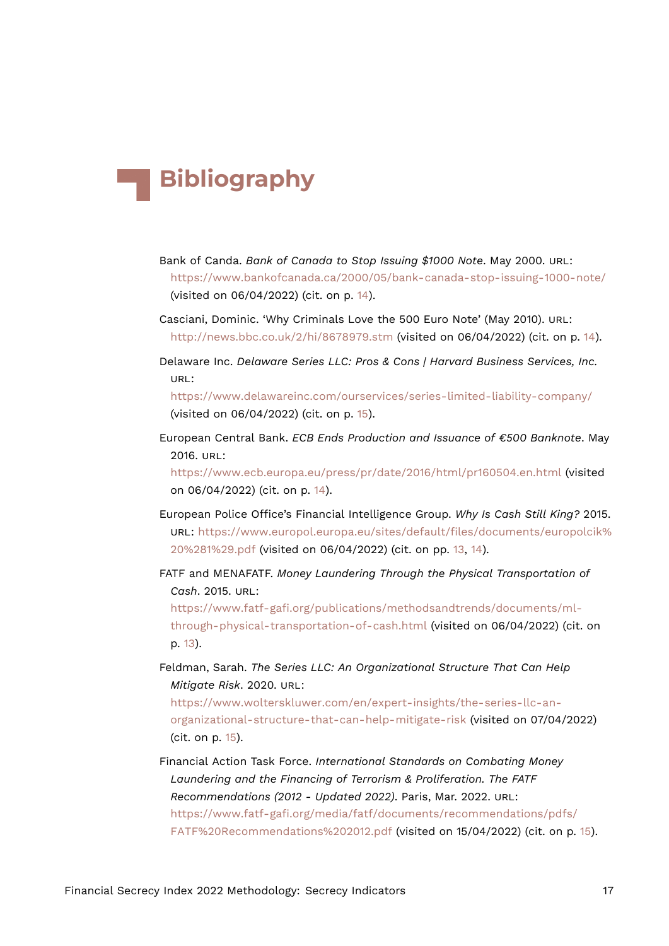# **Bibliography**

- Bank of Canda. *Bank of Canada to Stop Issuing \$1000 Note*. May 2000. URL: <https://www.bankofcanada.ca/2000/05/bank-canada-stop-issuing-1000-note/> (visited on 06/04/2022) (cit. on p. [14](#page-13-16)).
- Casciani, Dominic. 'Why Criminals Love the 500 Euro Note' (May 2010). URL: <http://news.bbc.co.uk/2/hi/8678979.stm> (visited on 06/04/2022) (cit. on p. [14\)](#page-13-16).
- Delaware Inc. *Delaware Series LLC: Pros & Cons | Harvard Business Services, Inc.* URL:

<https://www.delawareinc.com/ourservices/series-limited-liability-company/> (visited on 06/04/2022) (cit. on p. [15\)](#page-14-18).

European Central Bank. *ECB Ends Production and Issuance of €500 Banknote*. May 2016. URL:

<https://www.ecb.europa.eu/press/pr/date/2016/html/pr160504.en.html> (visited on 06/04/2022) (cit. on p. [14\)](#page-13-16).

European Police Office's Financial Intelligence Group. *Why Is Cash Still King?* 2015. URL: [https://www.europol.europa.eu/sites/default/files/documents/europolcik%](https://www.europol.europa.eu/sites/default/files/documents/europolcik%20%281%29.pdf) [20%281%29.pdf](https://www.europol.europa.eu/sites/default/files/documents/europolcik%20%281%29.pdf) (visited on 06/04/2022) (cit. on pp. [13](#page-12-13), [14](#page-13-16)).

FATF and MENAFATF. *Money Laundering Through the Physical Transportation of Cash*. 2015. URL: [https://www.fatf-gafi.org/publications/methodsandtrends/documents/ml](https://www.fatf-gafi.org/publications/methodsandtrends/documents/ml-through-physical-transportation-of-cash.html)[through-physical-transportation-of-cash.html](https://www.fatf-gafi.org/publications/methodsandtrends/documents/ml-through-physical-transportation-of-cash.html) (visited on 06/04/2022) (cit. on

- p. [13](#page-12-13)).
- Feldman, Sarah. *The Series LLC: An Organizational Structure That Can Help Mitigate Risk*. 2020. URL:

[https://www.wolterskluwer.com/en/expert-insights/the-series-llc-an](https://www.wolterskluwer.com/en/expert-insights/the-series-llc-an-organizational-structure-that-can-help-mitigate-risk)[organizational-structure-that-can-help-mitigate-risk](https://www.wolterskluwer.com/en/expert-insights/the-series-llc-an-organizational-structure-that-can-help-mitigate-risk) (visited on 07/04/2022) (cit. on p. [15](#page-14-18)).

Financial Action Task Force. *International Standards on Combating Money Laundering and the Financing of Terrorism & Proliferation. The FATF Recommendations (2012 - Updated 2022)*. Paris, Mar. 2022. URL: [https://www.fatf-gafi.org/media/fatf/documents/recommendations/pdfs/](https://www.fatf-gafi.org/media/fatf/documents/recommendations/pdfs/FATF%20Recommendations%202012.pdf) [FATF%20Recommendations%202012.pdf](https://www.fatf-gafi.org/media/fatf/documents/recommendations/pdfs/FATF%20Recommendations%202012.pdf) (visited on 15/04/2022) (cit. on p. [15](#page-14-18)).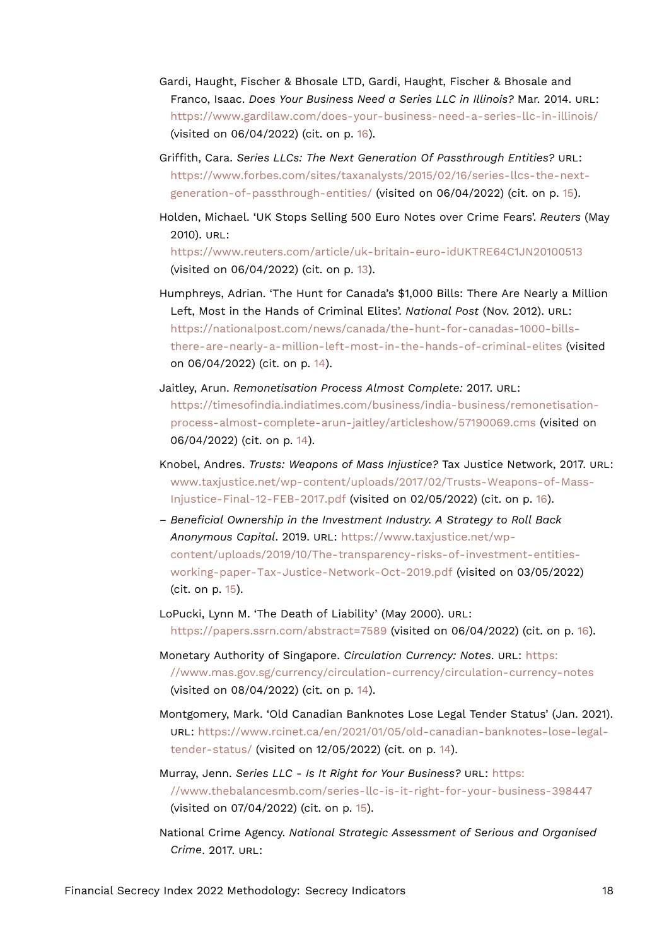- Gardi, Haught, Fischer & Bhosale LTD, Gardi, Haught, Fischer & Bhosale and Franco, Isaac. *Does Your Business Need a Series LLC in Illinois?* Mar. 2014. URL: <https://www.gardilaw.com/does-your-business-need-a-series-llc-in-illinois/> (visited on 06/04/2022) (cit. on p. [16](#page-15-7)).
- Griffith, Cara. *Series LLCs: The Next Generation Of Passthrough Entities?* URL: [https://www.forbes.com/sites/taxanalysts/2015/02/16/series-llcs-the-next](https://www.forbes.com/sites/taxanalysts/2015/02/16/series-llcs-the-next-generation-of-passthrough-entities/)[generation-of-passthrough-entities/](https://www.forbes.com/sites/taxanalysts/2015/02/16/series-llcs-the-next-generation-of-passthrough-entities/) (visited on 06/04/2022) (cit. on p. [15\)](#page-14-18).
- Holden, Michael. 'UK Stops Selling 500 Euro Notes over Crime Fears'. *Reuters* (May 2010). URL:

<https://www.reuters.com/article/uk-britain-euro-idUKTRE64C1JN20100513> (visited on 06/04/2022) (cit. on p. [13\)](#page-12-13).

- Humphreys, Adrian. 'The Hunt for Canada's \$1,000 Bills: There Are Nearly a Million Left, Most in the Hands of Criminal Elites'. *National Post* (Nov. 2012). URL: [https://nationalpost.com/news/canada/the-hunt-for-canadas-1000-bills](https://nationalpost.com/news/canada/the-hunt-for-canadas-1000-bills-there-are-nearly-a-million-left-most-in-the-hands-of-criminal-elites)[there-are-nearly-a-million-left-most-in-the-hands-of-criminal-elites](https://nationalpost.com/news/canada/the-hunt-for-canadas-1000-bills-there-are-nearly-a-million-left-most-in-the-hands-of-criminal-elites) (visited on 06/04/2022) (cit. on p. [14\)](#page-13-16).
- Jaitley, Arun. *Remonetisation Process Almost Complete:* 2017. URL: [https://timesofindia.indiatimes.com/business/india-business/remonetisation](https://timesofindia.indiatimes.com/business/india-business/remonetisation-process-almost-complete-arun-jaitley/articleshow/57190069.cms)[process-almost-complete-arun-jaitley/articleshow/57190069.cms](https://timesofindia.indiatimes.com/business/india-business/remonetisation-process-almost-complete-arun-jaitley/articleshow/57190069.cms) (visited on 06/04/2022) (cit. on p. [14](#page-13-16)).
- Knobel, Andres. *Trusts: Weapons of Mass Injustice?* Tax Justice Network, 2017. URL: [www.taxjustice.net/wp-content/uploads/2017/02/Trusts-Weapons-of-Mass-](www.taxjustice.net/wp-content/uploads/2017/02/Trusts-Weapons-of-Mass-Injustice-Final-12-FEB-2017.pdf)[Injustice-Final-12-FEB-2017.pdf](www.taxjustice.net/wp-content/uploads/2017/02/Trusts-Weapons-of-Mass-Injustice-Final-12-FEB-2017.pdf) (visited on 02/05/2022) (cit. on p. [16](#page-15-7)).
- *Beneficial Ownership in the Investment Industry. A Strategy to Roll Back Anonymous Capital*. 2019. URL: [https://www.taxjustice.net/wp](https://www.taxjustice.net/wp-content/uploads/2019/10/The-transparency-risks-of-investment-entities-working-paper-Tax-Justice-Network-Oct-2019.pdf)[content/uploads/2019/10/The-transparency-risks-of-investment-entities](https://www.taxjustice.net/wp-content/uploads/2019/10/The-transparency-risks-of-investment-entities-working-paper-Tax-Justice-Network-Oct-2019.pdf)[working-paper-Tax-Justice-Network-Oct-2019.pdf](https://www.taxjustice.net/wp-content/uploads/2019/10/The-transparency-risks-of-investment-entities-working-paper-Tax-Justice-Network-Oct-2019.pdf) (visited on 03/05/2022) (cit. on p. [15](#page-14-18)).
- LoPucki, Lynn M. 'The Death of Liability' (May 2000). URL: <https://papers.ssrn.com/abstract=7589> (visited on 06/04/2022) (cit. on p. [16](#page-15-7)).
- Monetary Authority of Singapore. *Circulation Currency: Notes*. URL: [https:](https://www.mas.gov.sg/currency/circulation-currency/circulation-currency-notes) [//www.mas.gov.sg/currency/circulation-currency/circulation-currency-notes](https://www.mas.gov.sg/currency/circulation-currency/circulation-currency-notes) (visited on 08/04/2022) (cit. on p. [14](#page-13-16)).
- Montgomery, Mark. 'Old Canadian Banknotes Lose Legal Tender Status' (Jan. 2021). URL: [https://www.rcinet.ca/en/2021/01/05/old-canadian-banknotes-lose-legal](https://www.rcinet.ca/en/2021/01/05/old-canadian-banknotes-lose-legal-tender-status/)[tender-status/](https://www.rcinet.ca/en/2021/01/05/old-canadian-banknotes-lose-legal-tender-status/) (visited on 12/05/2022) (cit. on p. [14](#page-13-16)).
- Murray, Jenn. *Series LLC Is It Right for Your Business?* URL: [https:](https://www.thebalancesmb.com/series-llc-is-it-right-for-your-business-398447) [//www.thebalancesmb.com/series-llc-is-it-right-for-your-business-398447](https://www.thebalancesmb.com/series-llc-is-it-right-for-your-business-398447) (visited on 07/04/2022) (cit. on p. [15\)](#page-14-18).
- National Crime Agency. *National Strategic Assessment of Serious and Organised Crime*. 2017. URL: